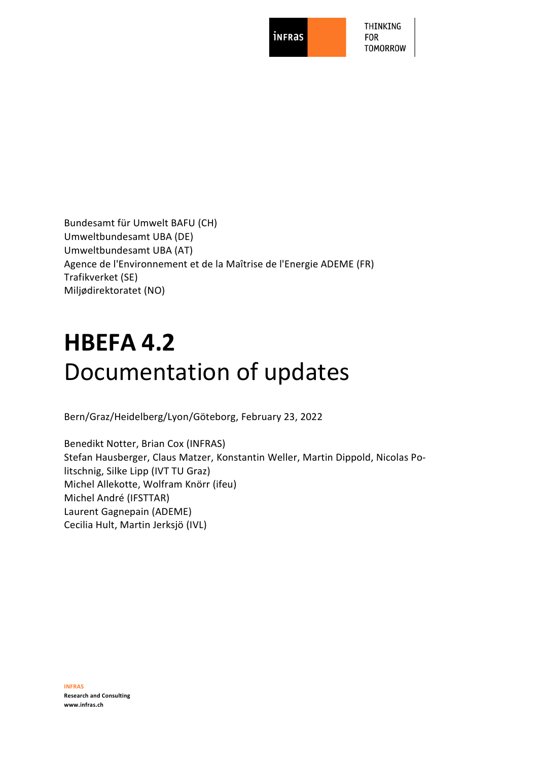**inFRas** 

THINKING **FOR TOMORROW** 

Bundesamt für Umwelt BAFU (CH) Umweltbundesamt UBA (DE) Umweltbundesamt UBA (AT) Agence de l'Environnement et de la Maîtrise de l'Energie ADEME (FR) Trafikverket (SE) Miljødirektoratet (NO)

# **HBEFA 4.2** Documentation of updates

Bern/Graz/Heidelberg/Lyon/Göteborg, February 23, 2022

Benedikt Notter, Brian Cox (INFRAS) Stefan Hausberger, Claus Matzer, Konstantin Weller, Martin Dippold, Nicolas Politschnig, Silke Lipp (IVT TU Graz) Michel Allekotte, Wolfram Knörr (ifeu) Michel André (IFSTTAR) Laurent Gagnepain (ADEME) Cecilia Hult, Martin Jerksjö (IVL)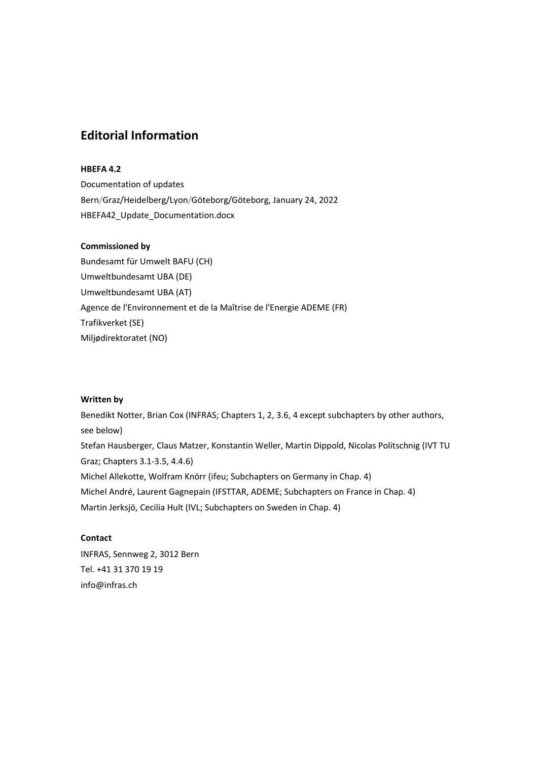# <span id="page-1-0"></span>**Editorial Information**

### **HBEFA 4.2**

Documentation of updates Bern/Graz/Heidelberg/Lyon/Göteborg/Göteborg, January 24, 2022 HBEFA42\_Update\_Documentation.docx

#### **Commissioned by**

Bundesamt für Umwelt BAFU (CH) Umweltbundesamt UBA (DE) Umweltbundesamt UBA (AT) Agence de l'Environnement et de la Maîtrise de l'Energie ADEME (FR) Trafikverket (SE) Miljødirektoratet (NO)

#### **Written by**

Benedikt Notter, Brian Cox (INFRAS; Chapters 1, 2, 3.6, 4 except subchapters by other authors, see below) Stefan Hausberger, Claus Matzer, Konstantin Weller, Martin Dippold, Nicolas Politschnig (IVT TU Graz; Chapters 3.1-3.5, 4.4.6) Michel Allekotte, Wolfram Knörr (ifeu; Subchapters on Germany in Chap. 4) Michel André, Laurent Gagnepain (IFSTTAR, ADEME; Subchapters on France in Chap. 4) Martin Jerksjö, Cecilia Hult (IVL; Subchapters on Sweden in Chap. 4)

# **Contact**

INFRAS, Sennweg 2, 3012 Bern Tel. +41 31 370 19 19 info@infras.ch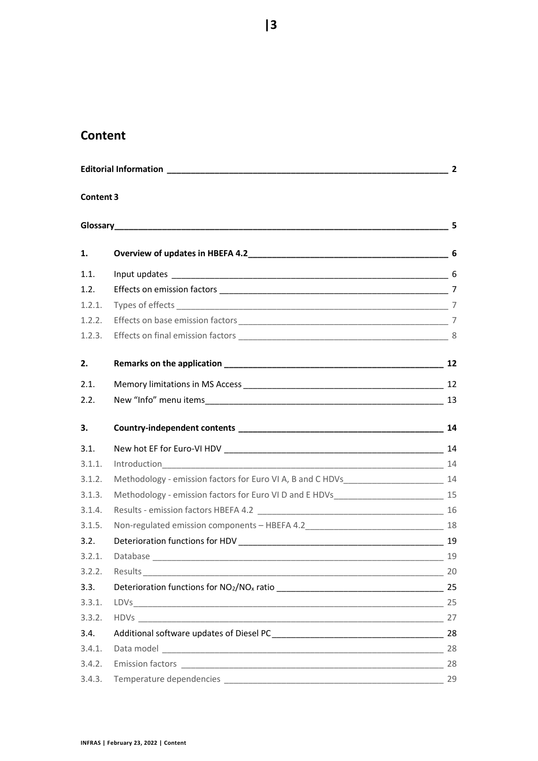# <span id="page-2-0"></span>**Content**

| $\sim$ 2   |  |    |  |
|------------|--|----|--|
| Content 3  |  |    |  |
| Glossary 5 |  |    |  |
| 1.         |  |    |  |
| 1.1.       |  |    |  |
| 1.2.       |  |    |  |
| 1.2.1.     |  |    |  |
| 1.2.2.     |  |    |  |
| 1.2.3.     |  |    |  |
| 2.         |  |    |  |
| 2.1.       |  |    |  |
| 2.2.       |  |    |  |
| З.         |  |    |  |
| 3.1.       |  |    |  |
| 3.1.1.     |  |    |  |
| 3.1.2.     |  |    |  |
| 3.1.3.     |  |    |  |
| 3.1.4.     |  |    |  |
| 3.1.5.     |  |    |  |
| 3.2.       |  |    |  |
| 3.2.1.     |  |    |  |
| 3.2.2.     |  | 20 |  |
| 3.3.       |  |    |  |
| 3.3.1.     |  |    |  |
| 3.3.2.     |  |    |  |
| 3.4.       |  |    |  |
| 3.4.1.     |  |    |  |
| 3.4.2.     |  |    |  |
| 3.4.3.     |  | 29 |  |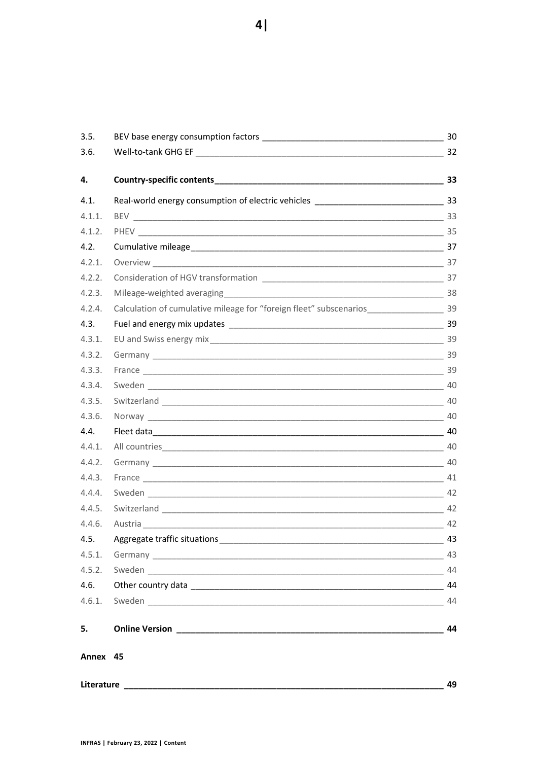| 3.5.       |                                                                                                |    |
|------------|------------------------------------------------------------------------------------------------|----|
| 3.6.       |                                                                                                |    |
| 4.         |                                                                                                |    |
| 4.1.       |                                                                                                |    |
| 4.1.1.     |                                                                                                |    |
| 4.1.2.     |                                                                                                |    |
| 4.2.       |                                                                                                |    |
| 4.2.1.     |                                                                                                |    |
| 4.2.2.     |                                                                                                |    |
| 4.2.3.     |                                                                                                |    |
| 4.2.4.     | Calculation of cumulative mileage for "foreign fleet" subscenarios_________________________ 39 |    |
| 4.3.       |                                                                                                |    |
| 4.3.1.     |                                                                                                |    |
| 4.3.2.     |                                                                                                |    |
| 4.3.3.     |                                                                                                |    |
| 4.3.4.     |                                                                                                |    |
| 4.3.5.     |                                                                                                |    |
| 4.3.6.     |                                                                                                |    |
| 4.4.       |                                                                                                |    |
| 4.4.1.     |                                                                                                |    |
| 4.4.2.     |                                                                                                |    |
| 4.4.3.     |                                                                                                |    |
| 4.4.4.     |                                                                                                |    |
| 4.4.5.     |                                                                                                |    |
| 4.4.6.     |                                                                                                |    |
| 4.5.       |                                                                                                |    |
| 4.5.1.     |                                                                                                |    |
| 4.5.2.     |                                                                                                |    |
| 4.6.       |                                                                                                |    |
| 4.6.1.     |                                                                                                | 44 |
| 5.         |                                                                                                | 44 |
| Annex 45   |                                                                                                |    |
| Literature |                                                                                                | 49 |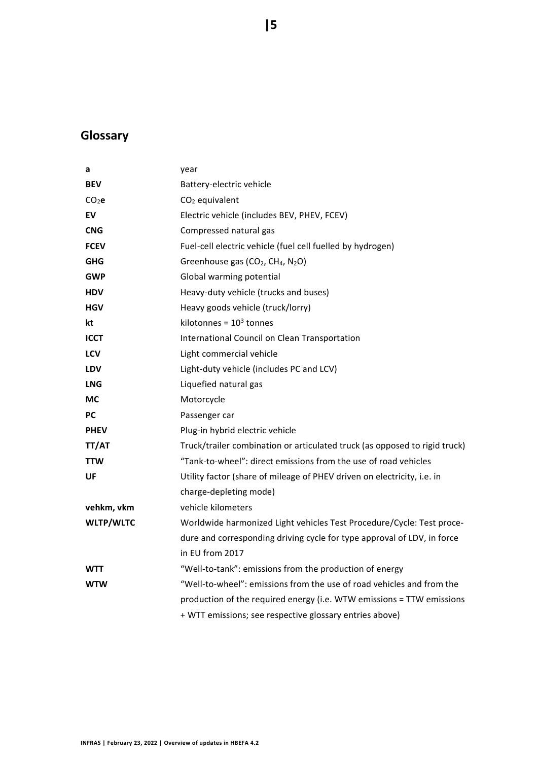# <span id="page-4-0"></span>**Glossary**

| a                 | year                                                                       |
|-------------------|----------------------------------------------------------------------------|
| <b>BEV</b>        | Battery-electric vehicle                                                   |
| CO <sub>2</sub> e | CO <sub>2</sub> equivalent                                                 |
| EV                | Electric vehicle (includes BEV, PHEV, FCEV)                                |
| <b>CNG</b>        | Compressed natural gas                                                     |
| <b>FCEV</b>       | Fuel-cell electric vehicle (fuel cell fuelled by hydrogen)                 |
| <b>GHG</b>        | Greenhouse gas (CO <sub>2</sub> , CH <sub>4</sub> , N <sub>2</sub> O)      |
| <b>GWP</b>        | Global warming potential                                                   |
| <b>HDV</b>        | Heavy-duty vehicle (trucks and buses)                                      |
| <b>HGV</b>        | Heavy goods vehicle (truck/lorry)                                          |
| kt                | kilotonnes = $103$ tonnes                                                  |
| <b>ICCT</b>       | International Council on Clean Transportation                              |
| LCV               | Light commercial vehicle                                                   |
| <b>LDV</b>        | Light-duty vehicle (includes PC and LCV)                                   |
| <b>LNG</b>        | Liquefied natural gas                                                      |
| <b>MC</b>         | Motorcycle                                                                 |
| <b>PC</b>         | Passenger car                                                              |
| <b>PHEV</b>       | Plug-in hybrid electric vehicle                                            |
| TT/AT             | Truck/trailer combination or articulated truck (as opposed to rigid truck) |
| <b>TTW</b>        | "Tank-to-wheel": direct emissions from the use of road vehicles            |
| UF                | Utility factor (share of mileage of PHEV driven on electricity, i.e. in    |
|                   | charge-depleting mode)                                                     |
| vehkm, vkm        | vehicle kilometers                                                         |
| <b>WLTP/WLTC</b>  | Worldwide harmonized Light vehicles Test Procedure/Cycle: Test proce-      |
|                   | dure and corresponding driving cycle for type approval of LDV, in force    |
|                   | in EU from 2017                                                            |
| <b>WTT</b>        | "Well-to-tank": emissions from the production of energy                    |
| <b>WTW</b>        | "Well-to-wheel": emissions from the use of road vehicles and from the      |
|                   | production of the required energy (i.e. WTW emissions = TTW emissions      |
|                   | + WTT emissions; see respective glossary entries above)                    |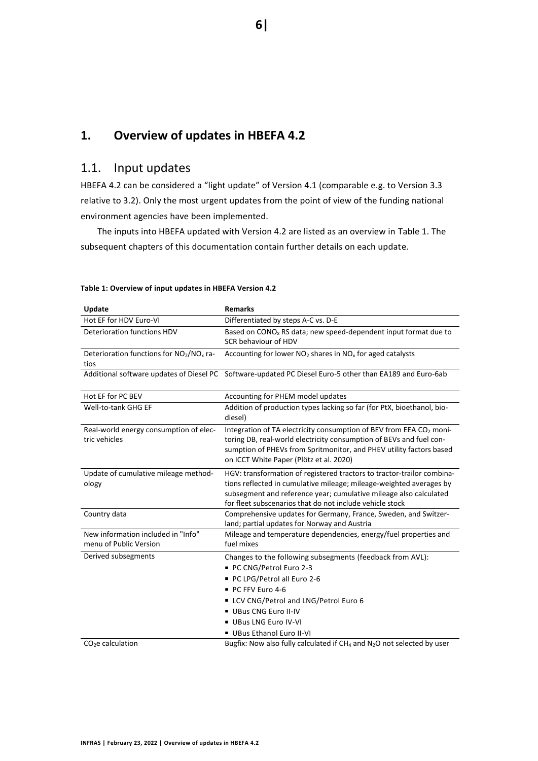# <span id="page-5-0"></span>**1. Overview of updates in HBEFA 4.2**

# <span id="page-5-1"></span>1.1. Input updates

HBEFA 4.2 can be considered a "light update" of Version 4.1 (comparable e.g. to Version 3.3 relative to 3.2). Only the most urgent updates from the point of view of the funding national environment agencies have been implemented.

The inputs into HBEFA updated with Version 4.2 are listed as an overview in [Table 1.](#page-5-2) The subsequent chapters of this documentation contain further details on each update.

| Update                                                           | <b>Remarks</b>                                                                                                                           |
|------------------------------------------------------------------|------------------------------------------------------------------------------------------------------------------------------------------|
| Hot EF for HDV Euro-VI                                           | Differentiated by steps A-C vs. D-E                                                                                                      |
| Deterioration functions HDV                                      | Based on $CONOx$ RS data; new speed-dependent input format due to                                                                        |
|                                                                  | SCR behaviour of HDV                                                                                                                     |
| Deterioration functions for NO <sub>2</sub> /NO <sub>x</sub> ra- | Accounting for lower $NO2$ shares in $NOx$ for aged catalysts                                                                            |
| tios                                                             |                                                                                                                                          |
| Additional software updates of Diesel PC                         | Software-updated PC Diesel Euro-5 other than EA189 and Euro-6ab                                                                          |
| Hot EF for PC BEV                                                | Accounting for PHEM model updates                                                                                                        |
| Well-to-tank GHG EF                                              | Addition of production types lacking so far (for PtX, bioethanol, bio-<br>diesel)                                                        |
| Real-world energy consumption of elec-                           | Integration of TA electricity consumption of BEV from EEA CO <sub>2</sub> moni-                                                          |
| tric vehicles                                                    | toring DB, real-world electricity consumption of BEVs and fuel con-                                                                      |
|                                                                  | sumption of PHEVs from Spritmonitor, and PHEV utility factors based<br>on ICCT White Paper (Plötz et al. 2020)                           |
|                                                                  |                                                                                                                                          |
| Update of cumulative mileage method-                             | HGV: transformation of registered tractors to tractor-trailor combina-                                                                   |
| ology                                                            | tions reflected in cumulative mileage; mileage-weighted averages by<br>subsegment and reference year; cumulative mileage also calculated |
|                                                                  | for fleet subscenarios that do not include vehicle stock                                                                                 |
| Country data                                                     | Comprehensive updates for Germany, France, Sweden, and Switzer-                                                                          |
|                                                                  | land; partial updates for Norway and Austria                                                                                             |
| New information included in "Info"                               | Mileage and temperature dependencies, energy/fuel properties and                                                                         |
| menu of Public Version                                           | fuel mixes                                                                                                                               |
| Derived subsegments                                              | Changes to the following subsegments (feedback from AVL):                                                                                |
|                                                                  | PC CNG/Petrol Euro 2-3                                                                                                                   |
|                                                                  | PC LPG/Petrol all Euro 2-6                                                                                                               |
|                                                                  | PC FFV Euro 4-6                                                                                                                          |
|                                                                  | ■ LCV CNG/Petrol and LNG/Petrol Euro 6                                                                                                   |
|                                                                  | UBus CNG Euro II-IV                                                                                                                      |
|                                                                  | UBus LNG Euro IV-VI                                                                                                                      |
|                                                                  | UBus Ethanol Euro II-VI                                                                                                                  |
| $CO2e$ calculation                                               | Bugfix: Now also fully calculated if $CH_4$ and N <sub>2</sub> O not selected by user                                                    |

#### <span id="page-5-2"></span>**Table 1: Overview of input updates in HBEFA Version 4.2**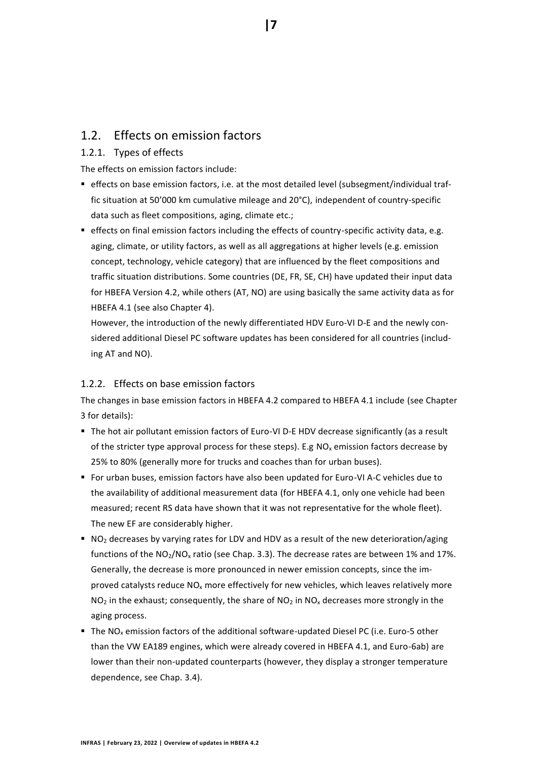# <span id="page-6-0"></span>1.2. Effects on emission factors

# <span id="page-6-1"></span>1.2.1. Types of effects

The effects on emission factors include:

- effects on base emission factors, i.e. at the most detailed level (subsegment/individual traffic situation at 50'000 km cumulative mileage and 20°C), independent of country-specific data such as fleet compositions, aging, climate etc.;
- **effects on final emission factors including the effects of country-specific activity data, e.g.** aging, climate, or utility factors, as well as all aggregations at higher levels (e.g. emission concept, technology, vehicle category) that are influenced by the fleet compositions and traffic situation distributions. Some countries (DE, FR, SE, CH) have updated their input data for HBEFA Version 4.2, while others (AT, NO) are using basically the same activity data as for HBEFA 4.1 (see also Chapter [4\)](#page-32-0).

However, the introduction of the newly differentiated HDV Euro-VI D-E and the newly considered additional Diesel PC software updates has been considered for all countries (including AT and NO).

### <span id="page-6-2"></span>1.2.2. Effects on base emission factors

The changes in base emission factors in HBEFA 4.2 compared to HBEFA 4.1 include (see Chapter [3](#page-13-0) for details):

- The hot air pollutant emission factors of Euro-VI D-E HDV decrease significantly (as a result of the stricter type approval process for these steps). E.g  $NO<sub>x</sub>$  emission factors decrease by 25% to 80% (generally more for trucks and coaches than for urban buses).
- For urban buses, emission factors have also been updated for Euro-VI A-C vehicles due to the availability of additional measurement data (for HBEFA 4.1, only one vehicle had been measured; recent RS data have shown that it was not representative for the whole fleet). The new EF are considerably higher.
- NO<sub>2</sub> decreases by varying rates for LDV and HDV as a result of the new deterioration/aging functions of the  $NO<sub>2</sub>/NO<sub>x</sub>$  ratio (see Chap[. 3.3\)](#page-24-0). The decrease rates are between 1% and 17%. Generally, the decrease is more pronounced in newer emission concepts, since the improved catalysts reduce NO<sup>x</sup> more effectively for new vehicles, which leaves relatively more  $NO<sub>2</sub>$  in the exhaust; consequently, the share of  $NO<sub>2</sub>$  in  $NO<sub>x</sub>$  decreases more strongly in the aging process.
- **The NO<sub>x</sub>** emission factors of the additional software-updated Diesel PC (i.e. Euro-5 other than the VW EA189 engines, which were already covered in HBEFA 4.1, and Euro-6ab) are lower than their non-updated counterparts (however, they display a stronger temperature dependence, see Chap. [3.4\)](#page-27-0).

**|7**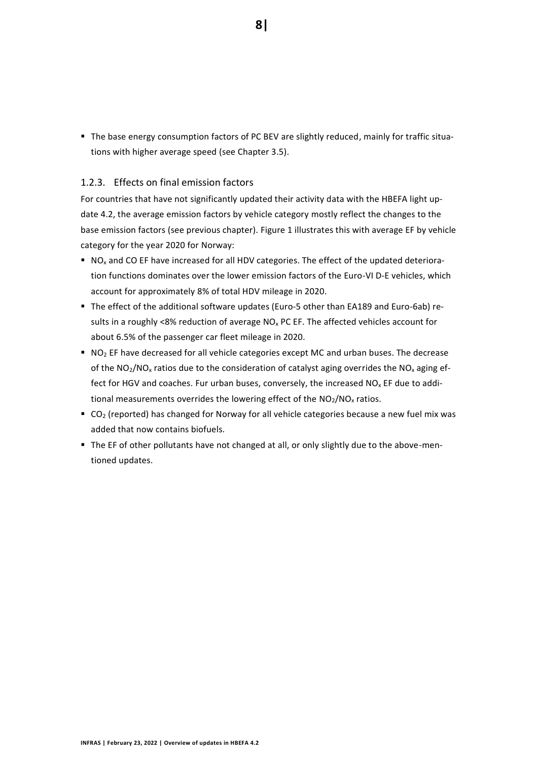**The base energy consumption factors of PC BEV are slightly reduced, mainly for traffic situa**tions with higher average speed (see Chapter [3.5\)](#page-29-0).

### <span id="page-7-0"></span>1.2.3. Effects on final emission factors

For countries that have not significantly updated their activity data with the HBEFA light update 4.2, the average emission factors by vehicle category mostly reflect the changes to the base emission factors (see previous chapter). [Figure 1](#page-8-0) illustrates this with average EF by vehicle category for the year 2020 for Norway:

- $\blacksquare$  NO<sub>x</sub> and CO EF have increased for all HDV categories. The effect of the updated deterioration functions dominates over the lower emission factors of the Euro-VI D-E vehicles, which account for approximately 8% of total HDV mileage in 2020.
- The effect of the additional software updates (Euro-5 other than EA189 and Euro-6ab) results in a roughly <8% reduction of average  $NO<sub>x</sub> PC EF$ . The affected vehicles account for about 6.5% of the passenger car fleet mileage in 2020.
- $\blacksquare$  NO<sub>2</sub> EF have decreased for all vehicle categories except MC and urban buses. The decrease of the  $NO_2/NO_x$  ratios due to the consideration of catalyst aging overrides the  $NO_x$  aging effect for HGV and coaches. Fur urban buses, conversely, the increased  $NO<sub>x</sub>$  EF due to additional measurements overrides the lowering effect of the  $NO<sub>2</sub>/NO<sub>x</sub>$  ratios.
- $\bullet$  CO<sub>2</sub> (reported) has changed for Norway for all vehicle categories because a new fuel mix was added that now contains biofuels.
- The EF of other pollutants have not changed at all, or only slightly due to the above-mentioned updates.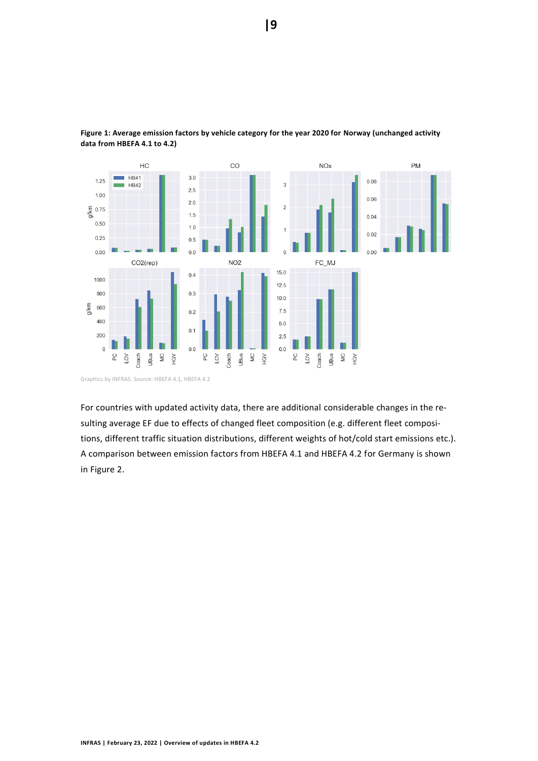

<span id="page-8-0"></span>**Figure 1: Average emission factors by vehicle category for the year 2020 for Norway (unchanged activity data from HBEFA 4.1 to 4.2)**

For countries with updated activity data, there are additional considerable changes in the resulting average EF due to effects of changed fleet composition (e.g. different fleet compositions, different traffic situation distributions, different weights of hot/cold start emissions etc.). A comparison between emission factors from HBEFA 4.1 and HBEFA 4.2 for Germany is shown

in [Figure 2.](#page-9-0)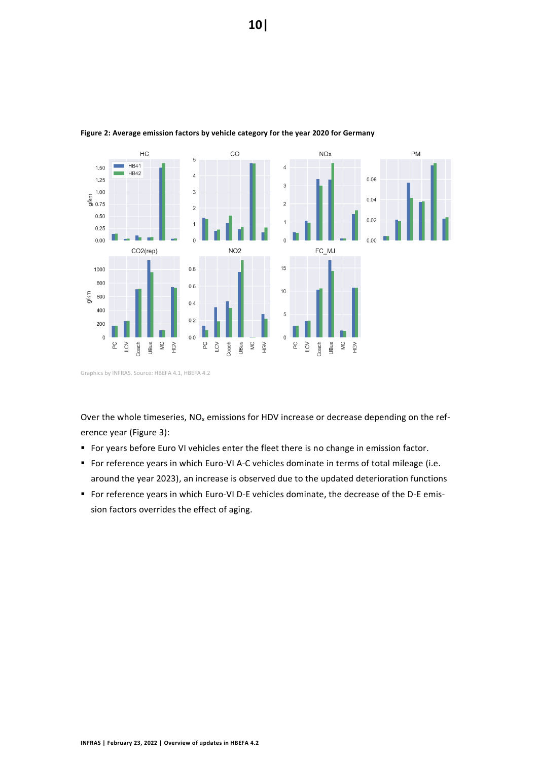

#### <span id="page-9-0"></span>**Figure 2: Average emission factors by vehicle category for the year 2020 for Germany**

Graphics by INFRAS. Source: HBEFA 4.1, HBEFA 4.2

Over the whole timeseries,  $NO<sub>x</sub>$  emissions for HDV increase or decrease depending on the reference year [\(Figure 3\)](#page-10-0):

- For years before Euro VI vehicles enter the fleet there is no change in emission factor.
- For reference years in which Euro-VI A-C vehicles dominate in terms of total mileage (i.e. around the year 2023), an increase is observed due to the updated deterioration functions
- For reference years in which Euro-VI D-E vehicles dominate, the decrease of the D-E emission factors overrides the effect of aging.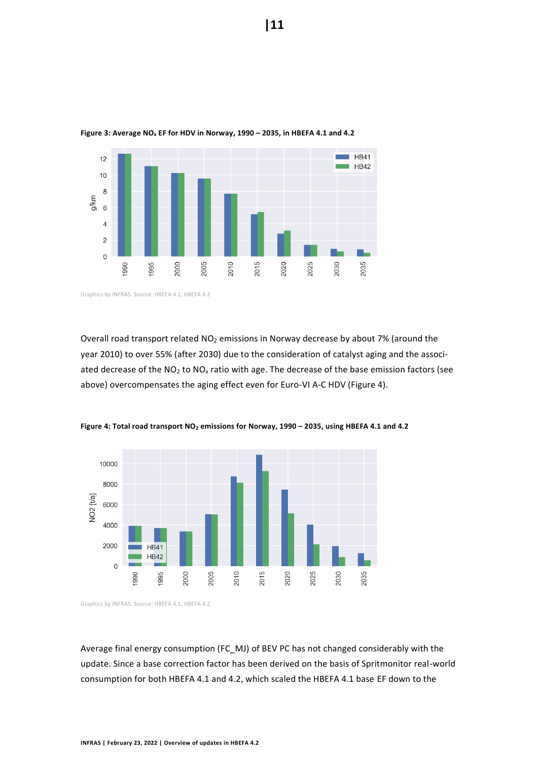

<span id="page-10-0"></span>**Figure 3: Average NO<sup>x</sup> EF for HDV in Norway, 1990 – 2035, in HBEFA 4.1 and 4.2**

Overall road transport related NO<sub>2</sub> emissions in Norway decrease by about 7% (around the year 2010) to over 55% (after 2030) due to the consideration of catalyst aging and the associated decrease of the  $NO<sub>2</sub>$  to  $NO<sub>x</sub>$  ratio with age. The decrease of the base emission factors (see above) overcompensates the aging effect even for Euro-VI A-C HDV [\(Figure 4\)](#page-10-1).



<span id="page-10-1"></span>**Figure 4: Total road transport NO<sup>2</sup> emissions for Norway, 1990 – 2035, using HBEFA 4.1 and 4.2**

Graphics by INFRAS. Source: HBEFA 4.1, HBEFA 4.2

Average final energy consumption (FC\_MJ) of BEV PC has not changed considerably with the update. Since a base correction factor has been derived on the basis of Spritmonitor real-world consumption for both HBEFA 4.1 and 4.2, which scaled the HBEFA 4.1 base EF down to the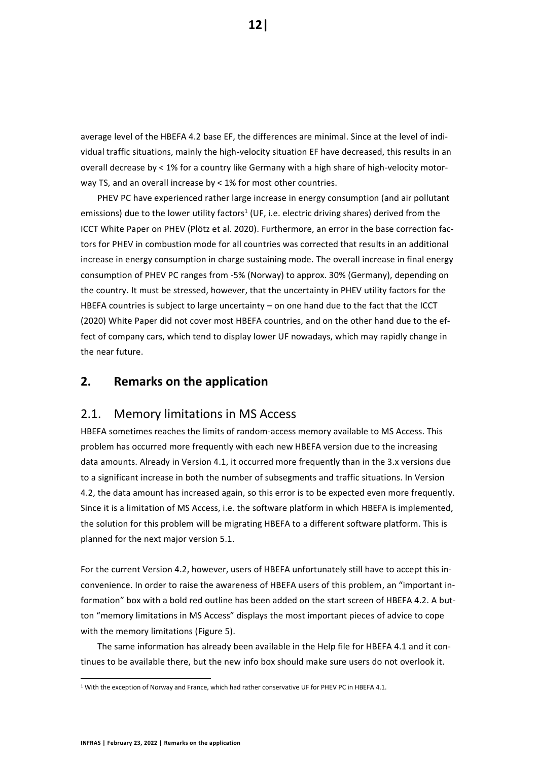average level of the HBEFA 4.2 base EF, the differences are minimal. Since at the level of individual traffic situations, mainly the high-velocity situation EF have decreased, this results in an overall decrease by < 1% for a country like Germany with a high share of high-velocity motorway TS, and an overall increase by < 1% for most other countries.

PHEV PC have experienced rather large increase in energy consumption (and air pollutant emissions) due to the lower utility factors<sup>1</sup> (UF, i.e. electric driving shares) derived from the ICCT White Paper on PHEV (Plötz et al. 2020). Furthermore, an error in the base correction factors for PHEV in combustion mode for all countries was corrected that results in an additional increase in energy consumption in charge sustaining mode. The overall increase in final energy consumption of PHEV PC ranges from -5% (Norway) to approx. 30% (Germany), depending on the country. It must be stressed, however, that the uncertainty in PHEV utility factors for the HBEFA countries is subject to large uncertainty – on one hand due to the fact that the ICCT (2020) White Paper did not cover most HBEFA countries, and on the other hand due to the effect of company cars, which tend to display lower UF nowadays, which may rapidly change in the near future.

# <span id="page-11-0"></span>**2. Remarks on the application**

# <span id="page-11-1"></span>2.1. Memory limitations in MS Access

HBEFA sometimes reaches the limits of random-access memory available to MS Access. This problem has occurred more frequently with each new HBEFA version due to the increasing data amounts. Already in Version 4.1, it occurred more frequently than in the 3.x versions due to a significant increase in both the number of subsegments and traffic situations. In Version 4.2, the data amount has increased again, so this error is to be expected even more frequently. Since it is a limitation of MS Access, i.e. the software platform in which HBEFA is implemented, the solution for this problem will be migrating HBEFA to a different software platform. This is planned for the next major version 5.1.

For the current Version 4.2, however, users of HBEFA unfortunately still have to accept this inconvenience. In order to raise the awareness of HBEFA users of this problem, an "important information" box with a bold red outline has been added on the start screen of HBEFA 4.2. A button "memory limitations in MS Access" displays the most important pieces of advice to cope with the memory limitations [\(Figure 5\)](#page-12-1).

The same information has already been available in the Help file for HBEFA 4.1 and it continues to be available there, but the new info box should make sure users do not overlook it.

<sup>&</sup>lt;sup>1</sup> With the exception of Norway and France, which had rather conservative UF for PHEV PC in HBEFA 4.1.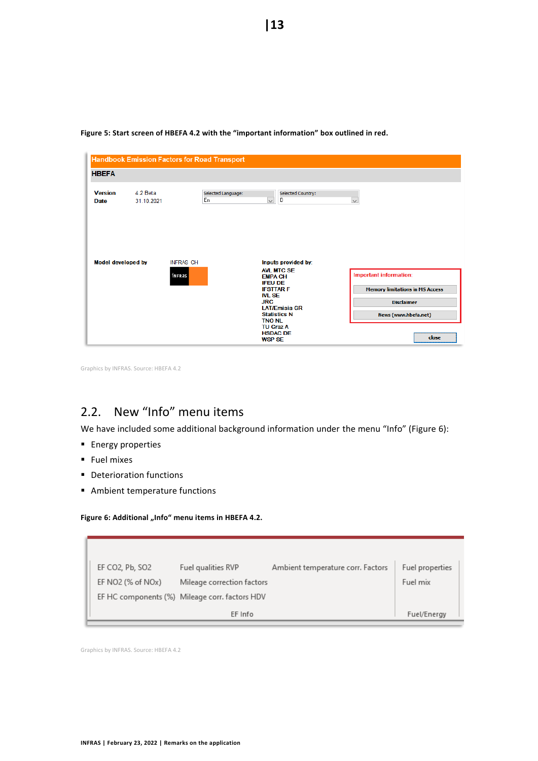| <b>HBEFA</b>                  |                        | <b>Handbook Emission Factors for Road Transport</b> |                                                                                                                 |                                                                                     |
|-------------------------------|------------------------|-----------------------------------------------------|-----------------------------------------------------------------------------------------------------------------|-------------------------------------------------------------------------------------|
| <b>Version</b><br><b>Date</b> | 4.2 Beta<br>31.10.2021 | Selected Language:<br>En                            | Selected Country:<br>$\backsim$<br>D                                                                            | $\checkmark$                                                                        |
| <b>Model developed by</b>     |                        | <b>INFRAS CH</b><br>infras                          | Inputs provided by:<br><b>AVI MTC SE</b><br><b>EMPA CH</b>                                                      | <b>Important information:</b>                                                       |
|                               |                        |                                                     | <b>IFEU DE</b><br><b>IFSTTARF</b><br><b>IVL SE</b><br><b>JRC</b><br><b>LAT/Emisia GR</b><br><b>Statistics N</b> | <b>Memory limitations in MS Access</b><br><b>Disclaimer</b><br>News (www.hbefa.net) |
|                               |                        |                                                     | <b>TNO NL</b><br><b>TU Graz A</b><br><b>HSDAC DE</b><br><b>WSP SE</b>                                           | close                                                                               |

<span id="page-12-1"></span>**Figure 5: Start screen of HBEFA 4.2 with the "important information" box outlined in red.**

Graphics by INFRAS. Source: HBEFA 4.2

# <span id="page-12-0"></span>2.2. New "Info" menu items

We have included some additional background information under the menu "Info" ([Figure 6\)](#page-12-2):

- **Energy properties**
- Fuel mixes
- Deterioration functions
- Ambient temperature functions

#### <span id="page-12-2"></span>Figure 6: Additional "Info" menu items in HBEFA 4.2.

| EF CO2, Pb, SO2                | Fuel qualities RVP                             | Ambient temperature corr. Factors | Fuel properties |  |
|--------------------------------|------------------------------------------------|-----------------------------------|-----------------|--|
| EF NO2 (% of NO <sub>x</sub> ) | Mileage correction factors                     |                                   | Fuel mix        |  |
|                                | EF HC components (%) Mileage corr. factors HDV |                                   |                 |  |
|                                | EF Info                                        |                                   | Fuel/Energy     |  |
|                                |                                                |                                   |                 |  |

Graphics by INFRAS. Source: HBEFA 4.2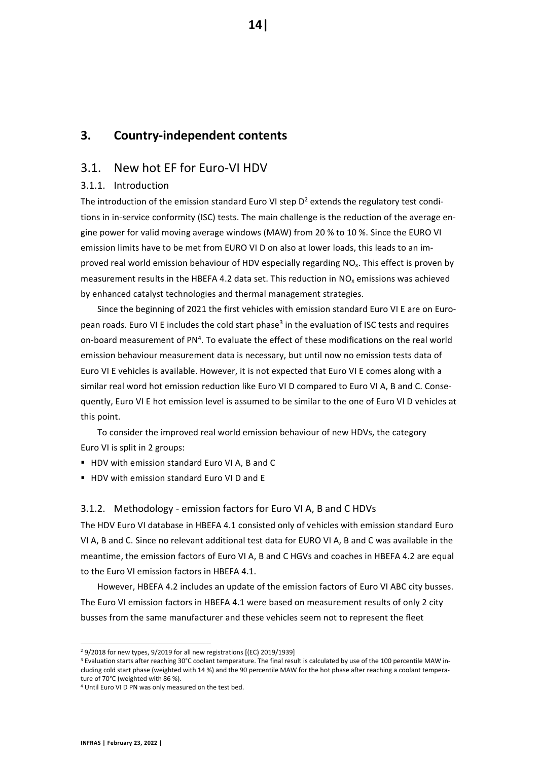# <span id="page-13-0"></span>**3. Country-independent contents**

# <span id="page-13-1"></span>3.1. New hot EF for Euro-VI HDV

#### <span id="page-13-2"></span>3.1.1. Introduction

The introduction of the emission standard Euro VI step  $D<sup>2</sup>$  extends the regulatory test conditions in in-service conformity (ISC) tests. The main challenge is the reduction of the average engine power for valid moving average windows (MAW) from 20 % to 10 %. Since the EURO VI emission limits have to be met from EURO VI D on also at lower loads, this leads to an improved real world emission behaviour of HDV especially regarding NO<sub>x</sub>. This effect is proven by measurement results in the HBEFA 4.2 data set. This reduction in  $NO<sub>x</sub>$  emissions was achieved by enhanced catalyst technologies and thermal management strategies.

Since the beginning of 2021 the first vehicles with emission standard Euro VI E are on European roads. Euro VI E includes the cold start phase<sup>3</sup> in the evaluation of ISC tests and requires on-board measurement of PN<sup>4</sup>. To evaluate the effect of these modifications on the real world emission behaviour measurement data is necessary, but until now no emission tests data of Euro VI E vehicles is available. However, it is not expected that Euro VI E comes along with a similar real word hot emission reduction like Euro VI D compared to Euro VI A, B and C. Consequently, Euro VI E hot emission level is assumed to be similar to the one of Euro VI D vehicles at this point.

To consider the improved real world emission behaviour of new HDVs, the category Euro VI is split in 2 groups:

- HDV with emission standard Euro VI A, B and C
- HDV with emission standard Furo VI D and F

#### <span id="page-13-3"></span>3.1.2. Methodology - emission factors for Euro VI A, B and C HDVs

The HDV Euro VI database in HBEFA 4.1 consisted only of vehicles with emission standard Euro VI A, B and C. Since no relevant additional test data for EURO VI A, B and C was available in the meantime, the emission factors of Euro VI A, B and C HGVs and coaches in HBEFA 4.2 are equal to the Euro VI emission factors in HBEFA 4.1.

However, HBEFA 4.2 includes an update of the emission factors of Euro VI ABC city busses. The Euro VI emission factors in HBEFA 4.1 were based on measurement results of only 2 city busses from the same manufacturer and these vehicles seem not to represent the fleet

**14|**

<sup>&</sup>lt;sup>2</sup> 9/2018 for new types, 9/2019 for all new registrations [(EC) 2019/1939]

<sup>3</sup> Evaluation starts after reaching 30°C coolant temperature. The final result is calculated by use of the 100 percentile MAW including cold start phase (weighted with 14 %) and the 90 percentile MAW for the hot phase after reaching a coolant temperature of 70°C (weighted with 86 %).

<sup>4</sup> Until Euro VI D PN was only measured on the test bed.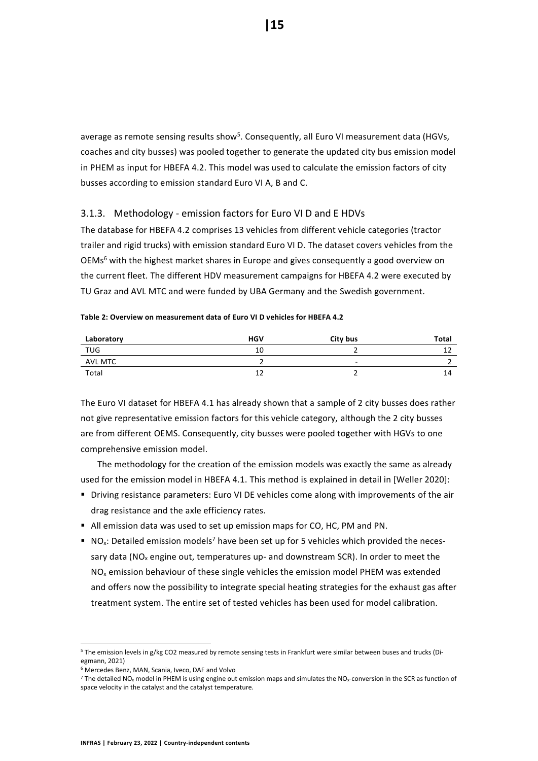average as remote sensing results show<sup>5</sup>. Consequently, all Euro VI measurement data (HGVs, coaches and city busses) was pooled together to generate the updated city bus emission model in PHEM as input for HBEFA 4.2. This model was used to calculate the emission factors of city busses according to emission standard Euro VI A, B and C.

#### <span id="page-14-0"></span>3.1.3. Methodology - emission factors for Euro VI D and E HDVs

The database for HBEFA 4.2 comprises 13 vehicles from different vehicle categories (tractor trailer and rigid trucks) with emission standard Euro VI D. The dataset covers vehicles from the OEMs<sup>6</sup> with the highest market shares in Europe and gives consequently a good overview on the current fleet. The different HDV measurement campaigns for HBEFA 4.2 were executed by TU Graz and AVL MTC and were funded by UBA Germany and the Swedish government.

#### **Table 2: Overview on measurement data of Euro VI D vehicles for HBEFA 4.2**

| Laboratory     | <b>HGV</b> | City bus                 | Total |
|----------------|------------|--------------------------|-------|
| TUG            | 10         |                          | --    |
| <b>AVL MTC</b> |            | $\overline{\phantom{a}}$ |       |
| Total          |            |                          | 14    |

The Euro VI dataset for HBEFA 4.1 has already shown that a sample of 2 city busses does rather not give representative emission factors for this vehicle category, although the 2 city busses are from different OEMS. Consequently, city busses were pooled together with HGVs to one comprehensive emission model.

The methodology for the creation of the emission models was exactly the same as already used for the emission model in HBEFA 4.1. This method is explained in detail in [Weller 2020]:

- **Driving resistance parameters: Euro VI DE vehicles come along with improvements of the air** drag resistance and the axle efficiency rates.
- All emission data was used to set up emission maps for CO, HC, PM and PN.
- $\blacksquare$  NO<sub>x</sub>: Detailed emission models<sup>7</sup> have been set up for 5 vehicles which provided the necessary data ( $NO<sub>x</sub>$  engine out, temperatures up- and downstream SCR). In order to meet the  $NO<sub>x</sub>$  emission behaviour of these single vehicles the emission model PHEM was extended and offers now the possibility to integrate special heating strategies for the exhaust gas after treatment system. The entire set of tested vehicles has been used for model calibration.

<sup>5</sup> The emission levels in g/kg CO2 measured by remote sensing tests in Frankfurt were similar between buses and trucks (Diegmann, 2021)

<sup>6</sup> Mercedes Benz, MAN, Scania, Iveco, DAF and Volvo

 $7$  The detailed NO<sub>x</sub> model in PHEM is using engine out emission maps and simulates the NO<sub>x</sub>-conversion in the SCR as function of space velocity in the catalyst and the catalyst temperature.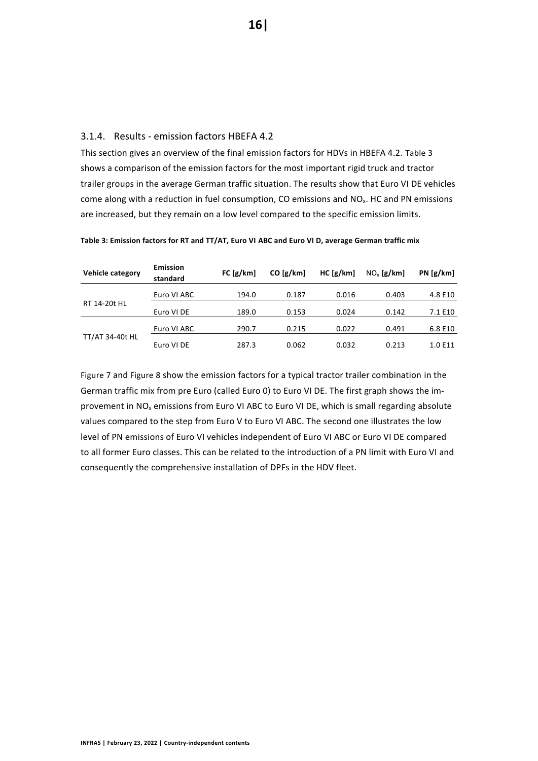#### <span id="page-15-0"></span>3.1.4. Results - emission factors HBEFA 4.2

This section gives an overview of the final emission factors for HDVs in HBEFA 4.2. [Table 3](#page-15-1) shows a comparison of the emission factors for the most important rigid truck and tractor trailer groups in the average German traffic situation. The results show that Euro VI DE vehicles come along with a reduction in fuel consumption, CO emissions and  $NO<sub>x</sub>$ . HC and PN emissions are increased, but they remain on a low level compared to the specific emission limits.

| Vehicle category | <b>Emission</b><br>standard | FC [g/km] | $CO$ [g/km] | HC[g/km] | $NOx$ [g/km] | PN[g/km] |
|------------------|-----------------------------|-----------|-------------|----------|--------------|----------|
|                  | Euro VI ABC                 | 194.0     | 0.187       | 0.016    | 0.403        | 4.8 E10  |
| RT 14-20t HL     | Euro VI DE                  | 189.0     | 0.153       | 0.024    | 0.142        | 7.1 E10  |
|                  | Euro VI ABC                 | 290.7     | 0.215       | 0.022    | 0.491        | 6.8 E10  |
| TT/AT 34-40t HL  | Euro VI DE                  | 287.3     | 0.062       | 0.032    | 0.213        | 1.0 E11  |

<span id="page-15-1"></span>**Table 3: Emission factors for RT and TT/AT, Euro VI ABC and Euro VI D, average German traffic mix**

[Figure 7](#page-16-0) and [Figure 8](#page-16-1) show the emission factors for a typical tractor trailer combination in the German traffic mix from pre Euro (called Euro 0) to Euro VI DE. The first graph shows the improvement in NO<sup>x</sup> emissions from Euro VI ABC to Euro VI DE, which is small regarding absolute values compared to the step from Euro V to Euro VI ABC. The second one illustrates the low level of PN emissions of Euro VI vehicles independent of Euro VI ABC or Euro VI DE compared to all former Euro classes. This can be related to the introduction of a PN limit with Euro VI and consequently the comprehensive installation of DPFs in the HDV fleet.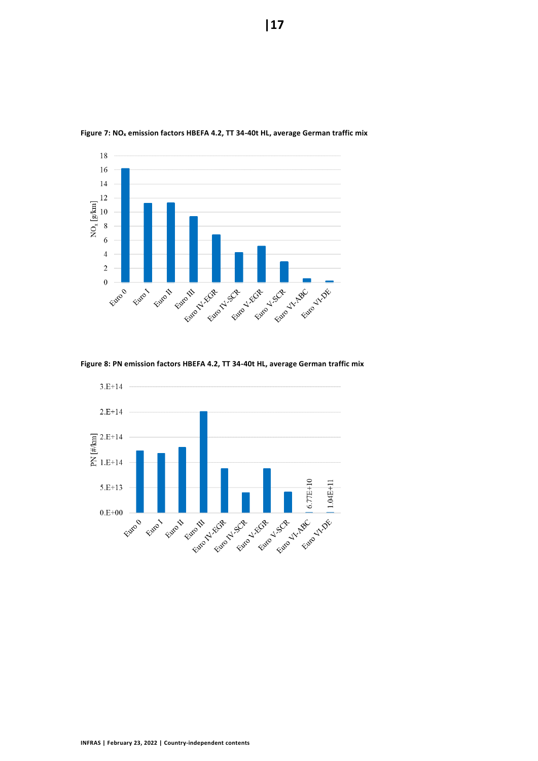

<span id="page-16-0"></span>**Figure 7: NO<sup>x</sup> emission factors HBEFA 4.2, TT 34-40t HL, average German traffic mix**

<span id="page-16-1"></span>**Figure 8: PN emission factors HBEFA 4.2, TT 34-40t HL, average German traffic mix**

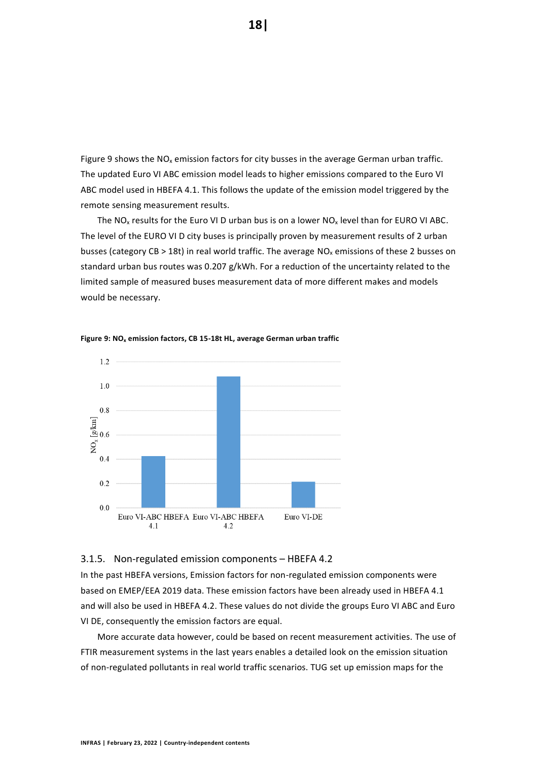[Figure 9](#page-17-1) shows the  $NO<sub>x</sub>$  emission factors for city busses in the average German urban traffic. The updated Euro VI ABC emission model leads to higher emissions compared to the Euro VI ABC model used in HBEFA 4.1. This follows the update of the emission model triggered by the remote sensing measurement results.

The  $NO<sub>x</sub>$  results for the Euro VI D urban bus is on a lower  $NO<sub>x</sub>$  level than for EURO VI ABC. The level of the EURO VI D city buses is principally proven by measurement results of 2 urban busses (category CB > 18t) in real world traffic. The average  $NO<sub>x</sub>$  emissions of these 2 busses on standard urban bus routes was 0.207 g/kWh. For a reduction of the uncertainty related to the limited sample of measured buses measurement data of more different makes and models would be necessary.



<span id="page-17-1"></span>**Figure 9: NO<sup>x</sup> emission factors, CB 15-18t HL, average German urban traffic**

#### <span id="page-17-0"></span>3.1.5. Non-regulated emission components – HBEFA 4.2

In the past HBEFA versions, Emission factors for non-regulated emission components were based on EMEP/EEA 2019 data. These emission factors have been already used in HBEFA 4.1 and will also be used in HBEFA 4.2. These values do not divide the groups Euro VI ABC and Euro VI DE, consequently the emission factors are equal.

More accurate data however, could be based on recent measurement activities. The use of FTIR measurement systems in the last years enables a detailed look on the emission situation of non-regulated pollutants in real world traffic scenarios. TUG set up emission maps for the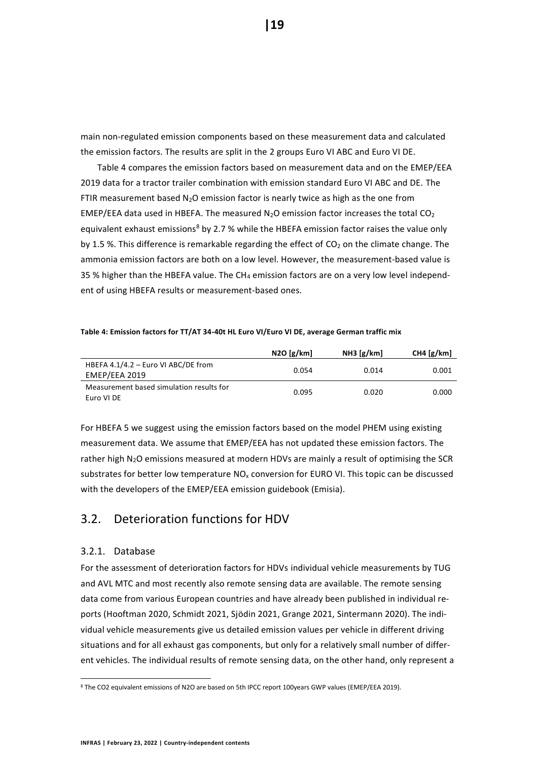main non-regulated emission components based on these measurement data and calculated the emission factors. The results are split in the 2 groups Euro VI ABC and Euro VI DE.

[Table 4](#page-18-2) compares the emission factors based on measurement data and on the EMEP/EEA 2019 data for a tractor trailer combination with emission standard Euro VI ABC and DE. The FTIR measurement based  $N_2O$  emission factor is nearly twice as high as the one from EMEP/EEA data used in HBEFA. The measured  $N_2O$  emission factor increases the total CO<sub>2</sub> equivalent exhaust emissions<sup>8</sup> by 2.7 % while the HBEFA emission factor raises the value only by 1.5 %. This difference is remarkable regarding the effect of  $CO<sub>2</sub>$  on the climate change. The ammonia emission factors are both on a low level. However, the measurement-based value is 35 % higher than the HBEFA value. The CH<sub>4</sub> emission factors are on a very low level independent of using HBEFA results or measurement-based ones.

#### <span id="page-18-2"></span>**Table 4: Emission factors for TT/AT 34-40t HL Euro VI/Euro VI DE, average German traffic mix**

|                                                        | N2O[g/km] | NH3 [g/km] | CH4 $[g/km]$ |
|--------------------------------------------------------|-----------|------------|--------------|
| HBEFA 4.1/4.2 - Euro VI ABC/DE from<br>EMEP/EEA 2019   | 0.054     | 0.014      | 0.001        |
| Measurement based simulation results for<br>Euro VI DE | 0.095     | 0.020      | 0.000        |

For HBEFA 5 we suggest using the emission factors based on the model PHEM using existing measurement data. We assume that EMEP/EEA has not updated these emission factors. The rather high  $N_2O$  emissions measured at modern HDVs are mainly a result of optimising the SCR substrates for better low temperature  $NO<sub>x</sub>$  conversion for EURO VI. This topic can be discussed with the developers of the EMEP/EEA emission guidebook (Emisia).

# <span id="page-18-0"></span>3.2. Deterioration functions for HDV

#### <span id="page-18-1"></span>3.2.1. Database

For the assessment of deterioration factors for HDVs individual vehicle measurements by TUG and AVL MTC and most recently also remote sensing data are available. The remote sensing data come from various European countries and have already been published in individual reports (Hooftman 2020, Schmidt 2021, Sjödin 2021, Grange 2021, Sintermann 2020). The individual vehicle measurements give us detailed emission values per vehicle in different driving situations and for all exhaust gas components, but only for a relatively small number of different vehicles. The individual results of remote sensing data, on the other hand, only represent a

<sup>8</sup> The CO2 equivalent emissions of N2O are based on 5th IPCC report 100years GWP values (EMEP/EEA 2019).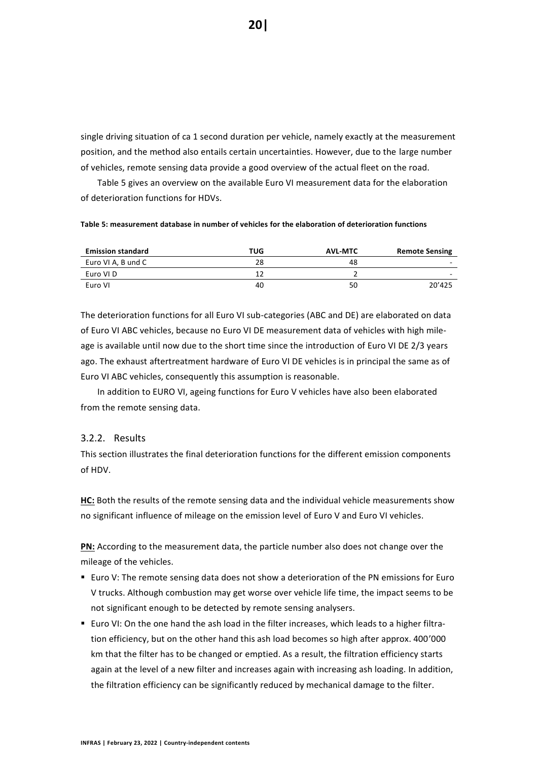single driving situation of ca 1 second duration per vehicle, namely exactly at the measurement position, and the method also entails certain uncertainties. However, due to the large number of vehicles, remote sensing data provide a good overview of the actual fleet on the road.

[Table 5](#page-19-1) gives an overview on the available Euro VI measurement data for the elaboration of deterioration functions for HDVs.

<span id="page-19-1"></span>**Table 5: measurement database in number of vehicles for the elaboration of deterioration functions**

| <b>Emission standard</b> | TUG | <b>AVL-MTC</b> | <b>Remote Sensing</b> |
|--------------------------|-----|----------------|-----------------------|
| Euro VI A, B und C       | 28  | 48             | $\sim$                |
| Euro VI D                |     |                | $\sim$                |
| Euro VI                  | 40  | 50             | 20'425                |

The deterioration functions for all Euro VI sub-categories (ABC and DE) are elaborated on data of Euro VI ABC vehicles, because no Euro VI DE measurement data of vehicles with high mileage is available until now due to the short time since the introduction of Euro VI DE 2/3 years ago. The exhaust aftertreatment hardware of Euro VI DE vehicles is in principal the same as of Euro VI ABC vehicles, consequently this assumption is reasonable.

In addition to EURO VI, ageing functions for Euro V vehicles have also been elaborated from the remote sensing data.

#### <span id="page-19-0"></span>3.2.2. Results

This section illustrates the final deterioration functions for the different emission components of HDV.

**HC:** Both the results of the remote sensing data and the individual vehicle measurements show no significant influence of mileage on the emission level of Euro V and Euro VI vehicles.

**PN:** According to the measurement data, the particle number also does not change over the mileage of the vehicles.

- Euro V: The remote sensing data does not show a deterioration of the PN emissions for Euro V trucks. Although combustion may get worse over vehicle life time, the impact seems to be not significant enough to be detected by remote sensing analysers.
- Euro VI: On the one hand the ash load in the filter increases, which leads to a higher filtration efficiency, but on the other hand this ash load becomes so high after approx. 400'000 km that the filter has to be changed or emptied. As a result, the filtration efficiency starts again at the level of a new filter and increases again with increasing ash loading. In addition, the filtration efficiency can be significantly reduced by mechanical damage to the filter.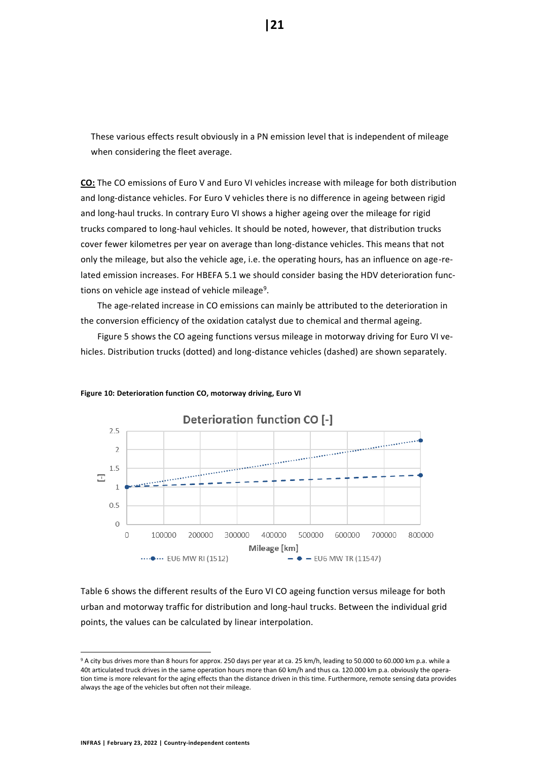These various effects result obviously in a PN emission level that is independent of mileage when considering the fleet average.

**CO:** The CO emissions of Euro V and Euro VI vehicles increase with mileage for both distribution and long-distance vehicles. For Euro V vehicles there is no difference in ageing between rigid and long-haul trucks. In contrary Euro VI shows a higher ageing over the mileage for rigid trucks compared to long-haul vehicles. It should be noted, however, that distribution trucks cover fewer kilometres per year on average than long-distance vehicles. This means that not only the mileage, but also the vehicle age, i.e. the operating hours, has an influence on age-related emission increases. For HBEFA 5.1 we should consider basing the HDV deterioration functions on vehicle age instead of vehicle mileage<sup>9</sup>.

The age-related increase in CO emissions can mainly be attributed to the deterioration in the conversion efficiency of the oxidation catalyst due to chemical and thermal ageing.

Figure 5 shows the CO ageing functions versus mileage in motorway driving for Euro VI vehicles. Distribution trucks (dotted) and long-distance vehicles (dashed) are shown separately.



#### **Figure 10: Deterioration function CO, motorway driving, Euro VI**

[Table 6](#page-21-0) shows the different results of the Euro VI CO ageing function versus mileage for both urban and motorway traffic for distribution and long-haul trucks. Between the individual grid points, the values can be calculated by linear interpolation.

<sup>9</sup> A city bus drives more than 8 hours for approx. 250 days per year at ca. 25 km/h, leading to 50.000 to 60.000 km p.a. while a 40t articulated truck drives in the same operation hours more than 60 km/h and thus ca. 120.000 km p.a. obviously the operation time is more relevant for the aging effects than the distance driven in this time. Furthermore, remote sensing data provides always the age of the vehicles but often not their mileage.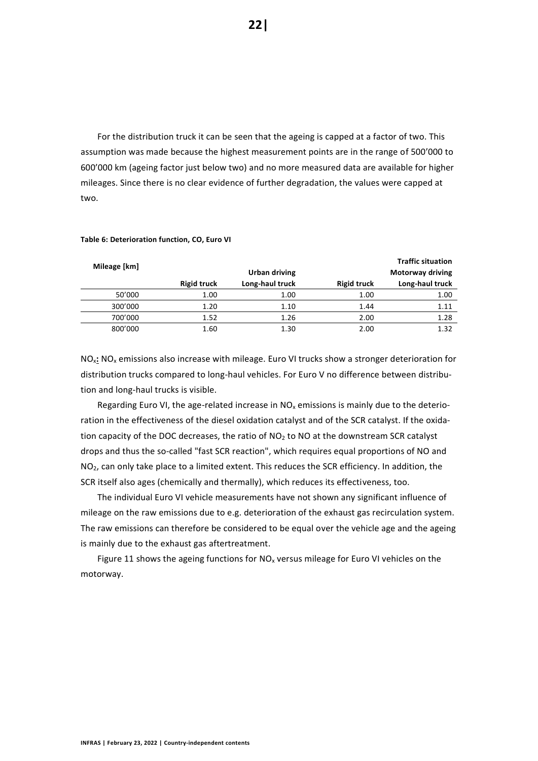For the distribution truck it can be seen that the ageing is capped at a factor of two. This assumption was made because the highest measurement points are in the range of 500'000 to 600'000 km (ageing factor just below two) and no more measured data are available for higher mileages. Since there is no clear evidence of further degradation, the values were capped at two.

| Mileage [km] |                    | Urban driving   |                    | <b>Traffic situation</b><br><b>Motorway driving</b> |
|--------------|--------------------|-----------------|--------------------|-----------------------------------------------------|
|              | <b>Rigid truck</b> | Long-haul truck | <b>Rigid truck</b> | Long-haul truck                                     |
| 50'000       | 1.00               | 1.00            | 1.00               | 1.00                                                |
| 300'000      | 1.20               | 1.10            | 1.44               | 1.11                                                |
| 700'000      | 1.52               | 1.26            | 2.00               | 1.28                                                |
| 800'000      | 1.60               | 1.30            | 2.00               | 1.32                                                |

#### <span id="page-21-0"></span>**Table 6: Deterioration function, CO, Euro VI**

NOx**:** NO<sup>x</sup> emissions also increase with mileage. Euro VI trucks show a stronger deterioration for distribution trucks compared to long-haul vehicles. For Euro V no difference between distribution and long-haul trucks is visible.

Regarding Euro VI, the age-related increase in  $NO<sub>x</sub>$  emissions is mainly due to the deterioration in the effectiveness of the diesel oxidation catalyst and of the SCR catalyst. If the oxidation capacity of the DOC decreases, the ratio of  $NO<sub>2</sub>$  to NO at the downstream SCR catalyst drops and thus the so-called "fast SCR reaction", which requires equal proportions of NO and NO<sub>2</sub>, can only take place to a limited extent. This reduces the SCR efficiency. In addition, the SCR itself also ages (chemically and thermally), which reduces its effectiveness, too.

The individual Euro VI vehicle measurements have not shown any significant influence of mileage on the raw emissions due to e.g. deterioration of the exhaust gas recirculation system. The raw emissions can therefore be considered to be equal over the vehicle age and the ageing is mainly due to the exhaust gas aftertreatment.

[Figure 11](#page-22-0) shows the ageing functions for  $NO<sub>x</sub>$  versus mileage for Euro VI vehicles on the motorway.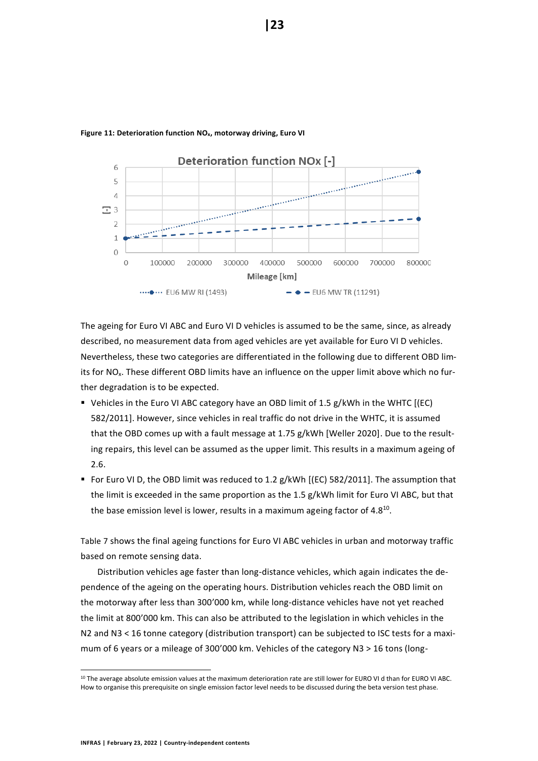

#### <span id="page-22-0"></span>**Figure 11: Deterioration function NOx, motorway driving, Euro VI**

The ageing for Euro VI ABC and Euro VI D vehicles is assumed to be the same, since, as already described, no measurement data from aged vehicles are yet available for Euro VI D vehicles. Nevertheless, these two categories are differentiated in the following due to different OBD limits for NO<sub>x</sub>. These different OBD limits have an influence on the upper limit above which no further degradation is to be expected.

- Vehicles in the Euro VI ABC category have an OBD limit of 1.5 g/kWh in the WHTC [(EC) 582/2011]. However, since vehicles in real traffic do not drive in the WHTC, it is assumed that the OBD comes up with a fault message at 1.75 g/kWh [Weller 2020]. Due to the resulting repairs, this level can be assumed as the upper limit. This results in a maximum ageing of 2.6.
- For Euro VI D, the OBD limit was reduced to 1.2 g/kWh [(EC) 582/2011]. The assumption that the limit is exceeded in the same proportion as the 1.5 g/kWh limit for Euro VI ABC, but that the base emission level is lower, results in a maximum ageing factor of 4.8<sup>10</sup>.

[Table 7](#page-23-0) shows the final ageing functions for Euro VI ABC vehicles in urban and motorway traffic based on remote sensing data.

Distribution vehicles age faster than long-distance vehicles, which again indicates the dependence of the ageing on the operating hours. Distribution vehicles reach the OBD limit on the motorway after less than 300'000 km, while long-distance vehicles have not yet reached the limit at 800'000 km. This can also be attributed to the legislation in which vehicles in the N2 and N3 < 16 tonne category (distribution transport) can be subjected to ISC tests for a maximum of 6 years or a mileage of 300'000 km. Vehicles of the category N3 > 16 tons (long-

<sup>&</sup>lt;sup>10</sup> The average absolute emission values at the maximum deterioration rate are still lower for EURO VI d than for EURO VI ABC. How to organise this prerequisite on single emission factor level needs to be discussed during the beta version test phase.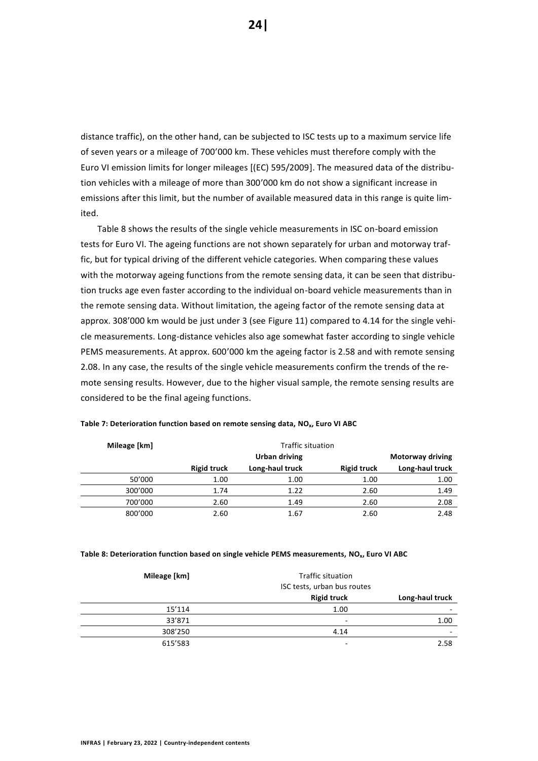distance traffic), on the other hand, can be subjected to ISC tests up to a maximum service life of seven years or a mileage of 700'000 km. These vehicles must therefore comply with the Euro VI emission limits for longer mileages [(EC) 595/2009]. The measured data of the distribution vehicles with a mileage of more than 300'000 km do not show a significant increase in emissions after this limit, but the number of available measured data in this range is quite limited.

[Table 8](#page-23-1) shows the results of the single vehicle measurements in ISC on-board emission tests for Euro VI. The ageing functions are not shown separately for urban and motorway traffic, but for typical driving of the different vehicle categories. When comparing these values with the motorway ageing functions from the remote sensing data, it can be seen that distribution trucks age even faster according to the individual on-board vehicle measurements than in the remote sensing data. Without limitation, the ageing factor of the remote sensing data at approx. 308'000 km would be just under 3 (see [Figure 11\)](#page-22-0) compared to 4.14 for the single vehicle measurements. Long-distance vehicles also age somewhat faster according to single vehicle PEMS measurements. At approx. 600'000 km the ageing factor is 2.58 and with remote sensing 2.08. In any case, the results of the single vehicle measurements confirm the trends of the remote sensing results. However, due to the higher visual sample, the remote sensing results are considered to be the final ageing functions.

| Mileage [km] | Traffic situation  |                 |                    |                 |
|--------------|--------------------|-----------------|--------------------|-----------------|
|              | Urban driving      |                 | Motorway driving   |                 |
|              | <b>Rigid truck</b> | Long-haul truck | <b>Rigid truck</b> | Long-haul truck |
| 50'000       | 1.00               | 1.00            | 1.00               | 1.00            |
| 300'000      | 1.74               | 1.22            | 2.60               | 1.49            |
| 700'000      | 2.60               | 1.49            | 2.60               | 2.08            |
| 800'000      | 2.60               | 1.67            | 2.60               | 2.48            |

<span id="page-23-0"></span>**Table 7: Deterioration function based on remote sensing data, NOx, Euro VI ABC**

#### <span id="page-23-1"></span>**Table 8: Deterioration function based on single vehicle PEMS measurements, NOx, Euro VI ABC**

| Mileage [km] | Traffic situation<br>ISC tests, urban bus routes |                          |
|--------------|--------------------------------------------------|--------------------------|
|              | <b>Rigid truck</b>                               | Long-haul truck          |
| 15'114       | 1.00                                             |                          |
| 33'871       | ۰                                                | 1.00                     |
| 308'250      | 4.14                                             | $\overline{\phantom{a}}$ |
| 615'583      | ۰                                                | 2.58                     |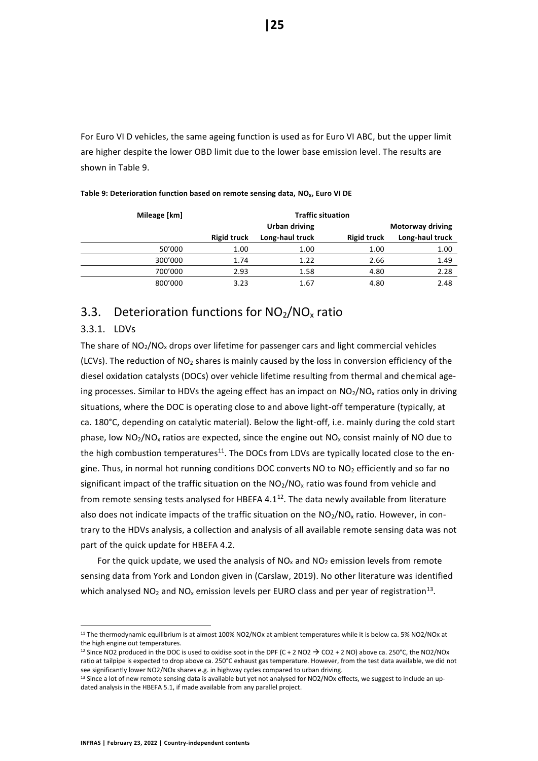For Euro VI D vehicles, the same ageing function is used as for Euro VI ABC, but the upper limit are higher despite the lower OBD limit due to the lower base emission level. The results are shown in [Table 9.](#page-24-2)

| Mileage [km] | <b>Traffic situation</b> |                 |                    |                         |
|--------------|--------------------------|-----------------|--------------------|-------------------------|
|              | Urban driving            |                 |                    | <b>Motorway driving</b> |
|              | <b>Rigid truck</b>       | Long-haul truck | <b>Rigid truck</b> | Long-haul truck         |
| 50'000       | 1.00                     | 1.00            | 1.00               | 1.00                    |
| 300'000      | 1.74                     | 1.22            | 2.66               | 1.49                    |
| 700'000      | 2.93                     | 1.58            | 4.80               | 2.28                    |
| 800'000      | 3.23                     | 1.67            | 4.80               | 2.48                    |

<span id="page-24-2"></span>**Table 9: Deterioration function based on remote sensing data, NOx, Euro VI DE**

# <span id="page-24-0"></span>3.3. Deterioration functions for  $NO<sub>2</sub>/NO<sub>x</sub>$  ratio

#### <span id="page-24-1"></span>3.3.1. LDVs

The share of  $NO<sub>2</sub>/NO<sub>x</sub>$  drops over lifetime for passenger cars and light commercial vehicles (LCVs). The reduction of  $NO<sub>2</sub>$  shares is mainly caused by the loss in conversion efficiency of the diesel oxidation catalysts (DOCs) over vehicle lifetime resulting from thermal and chemical ageing processes. Similar to HDVs the ageing effect has an impact on  $NO<sub>2</sub>/NO<sub>x</sub>$  ratios only in driving situations, where the DOC is operating close to and above light-off temperature (typically, at ca. 180°C, depending on catalytic material). Below the light-off, i.e. mainly during the cold start phase, low  $NO<sub>2</sub>/NO<sub>x</sub>$  ratios are expected, since the engine out  $NO<sub>x</sub>$  consist mainly of NO due to the high combustion temperatures $11$ . The DOCs from LDVs are typically located close to the engine. Thus, in normal hot running conditions DOC converts NO to  $NO<sub>2</sub>$  efficiently and so far no significant impact of the traffic situation on the  $NO<sub>2</sub>/NO<sub>x</sub>$  ratio was found from vehicle and from remote sensing tests analysed for HBEFA  $4.1<sup>12</sup>$ . The data newly available from literature also does not indicate impacts of the traffic situation on the  $NO<sub>2</sub>/NO<sub>x</sub>$  ratio. However, in contrary to the HDVs analysis, a collection and analysis of all available remote sensing data was not part of the quick update for HBEFA 4.2.

For the quick update, we used the analysis of  $NO<sub>x</sub>$  and  $NO<sub>2</sub>$  emission levels from remote sensing data from York and London given in (Carslaw, 2019). No other literature was identified which analysed NO<sub>2</sub> and NO<sub>x</sub> emission levels per EURO class and per year of registration<sup>13</sup>.

<sup>&</sup>lt;sup>11</sup> The thermodynamic equilibrium is at almost 100% NO2/NOx at ambient temperatures while it is below ca. 5% NO2/NOx at the high engine out temperatures.

<sup>&</sup>lt;sup>12</sup> Since NO2 produced in the DOC is used to oxidise soot in the DPF (C + 2 NO2  $\rightarrow$  CO2 + 2 NO) above ca. 250°C, the NO2/NOx ratio at tailpipe is expected to drop above ca. 250°C exhaust gas temperature. However, from the test data available, we did not see significantly lower NO2/NOx shares e.g. in highway cycles compared to urban driving.

<sup>13</sup> Since a lot of new remote sensing data is available but yet not analysed for NO2/NOx effects, we suggest to include an updated analysis in the HBEFA 5.1, if made available from any parallel project.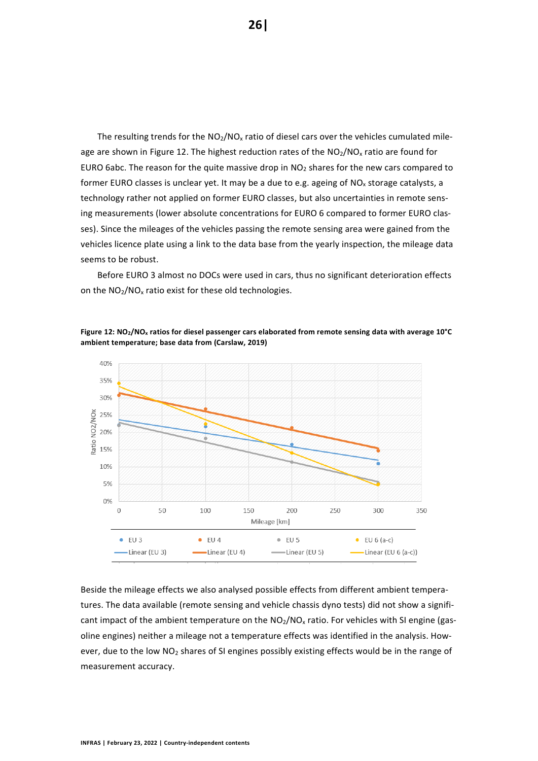The resulting trends for the  $NO<sub>2</sub>/NO<sub>x</sub>$  ratio of diesel cars over the vehicles cumulated mileage are shown i[n Figure 12.](#page-25-0) The highest reduction rates of the  $NO<sub>2</sub>/NO<sub>x</sub>$  ratio are found for EURO 6abc. The reason for the quite massive drop in  $NO<sub>2</sub>$  shares for the new cars compared to former EURO classes is unclear yet. It may be a due to e.g. ageing of  $NO<sub>x</sub>$  storage catalysts, a technology rather not applied on former EURO classes, but also uncertainties in remote sensing measurements (lower absolute concentrations for EURO 6 compared to former EURO classes). Since the mileages of the vehicles passing the remote sensing area were gained from the vehicles licence plate using a link to the data base from the yearly inspection, the mileage data seems to be robust.

Before EURO 3 almost no DOCs were used in cars, thus no significant deterioration effects on the NO<sub>2</sub>/NO<sub>x</sub> ratio exist for these old technologies.



<span id="page-25-0"></span>**Figure 12: NO2/NO<sup>x</sup> ratios for diesel passenger cars elaborated from remote sensing data with average 10°C ambient temperature; base data from (Carslaw, 2019)**

Beside the mileage effects we also analysed possible effects from different ambient temperatures. The data available (remote sensing and vehicle chassis dyno tests) did not show a significant impact of the ambient temperature on the  $NO<sub>2</sub>/NO<sub>x</sub>$  ratio. For vehicles with SI engine (gasoline engines) neither a mileage not a temperature effects was identified in the analysis. However, due to the low NO<sub>2</sub> shares of SI engines possibly existing effects would be in the range of measurement accuracy.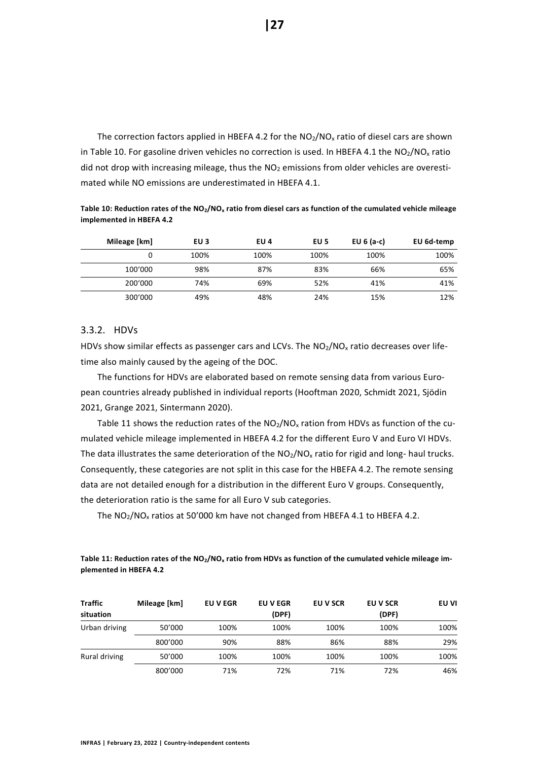The correction factors applied in HBEFA 4.2 for the  $NO<sub>2</sub>/NO<sub>x</sub>$  ratio of diesel cars are shown in [Table 10.](#page-26-1) For gasoline driven vehicles no correction is used. In HBEFA 4.1 the  $NO<sub>2</sub>/NO<sub>x</sub>$  ratio did not drop with increasing mileage, thus the  $NO<sub>2</sub>$  emissions from older vehicles are overestimated while NO emissions are underestimated in HBEFA 4.1.

<span id="page-26-1"></span>**Table 10: Reduction rates of the NO2/NO<sup>x</sup> ratio from diesel cars as function of the cumulated vehicle mileage implemented in HBEFA 4.2**

| Mileage [km] | EU 3 | EU 4 | EU 5 | EU $6$ (a-c) | EU 6d-temp |
|--------------|------|------|------|--------------|------------|
|              | 100% | 100% | 100% | 100%         | 100%       |
| 100'000      | 98%  | 87%  | 83%  | 66%          | 65%        |
| 200'000      | 74%  | 69%  | 52%  | 41%          | 41%        |
| 300'000      | 49%  | 48%  | 24%  | 15%          | 12%        |

#### <span id="page-26-0"></span>3.3.2. HDVs

HDVs show similar effects as passenger cars and LCVs. The NO<sub>2</sub>/NO<sub>x</sub> ratio decreases over lifetime also mainly caused by the ageing of the DOC.

The functions for HDVs are elaborated based on remote sensing data from various European countries already published in individual reports (Hooftman 2020, Schmidt 2021, Sjödin 2021, Grange 2021, Sintermann 2020).

[Table 11](#page-26-2) shows the reduction rates of the  $NO<sub>2</sub>/NO<sub>x</sub>$  ration from HDVs as function of the cumulated vehicle mileage implemented in HBEFA 4.2 for the different Euro V and Euro VI HDVs. The data illustrates the same deterioration of the  $NO<sub>2</sub>/NO<sub>x</sub>$  ratio for rigid and long- haul trucks. Consequently, these categories are not split in this case for the HBEFA 4.2. The remote sensing data are not detailed enough for a distribution in the different Euro V groups. Consequently, the deterioration ratio is the same for all Euro V sub categories.

The  $NO_2/NO_x$  ratios at 50'000 km have not changed from HBEFA 4.1 to HBEFA 4.2.

<span id="page-26-2"></span>**Table 11: Reduction rates of the NO2/NO<sup>x</sup> ratio from HDVs as function of the cumulated vehicle mileage implemented in HBEFA 4.2**

| <b>Traffic</b><br>situation | Mileage [km] | <b>EU V EGR</b> | <b>EUVEGR</b><br>(DPF) | EU V SCR | EU V SCR<br>(DPF) | EU VI |
|-----------------------------|--------------|-----------------|------------------------|----------|-------------------|-------|
| Urban driving               | 50'000       | 100%            | 100%                   | 100%     | 100%              | 100%  |
|                             | 800'000      | 90%             | 88%                    | 86%      | 88%               | 29%   |
| Rural driving               | 50'000       | 100%            | 100%                   | 100%     | 100%              | 100%  |
|                             | 800'000      | 71%             | 72%                    | 71%      | 72%               | 46%   |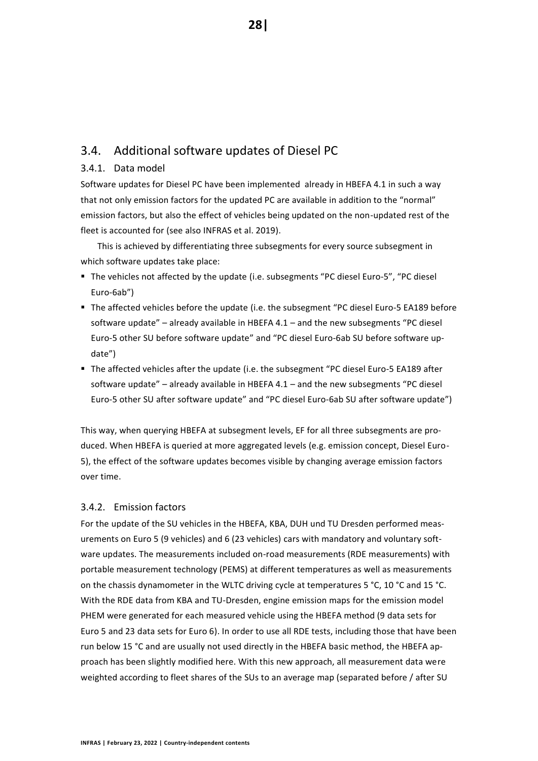# <span id="page-27-0"></span>3.4. Additional software updates of Diesel PC

### <span id="page-27-1"></span>3.4.1. Data model

Software updates for Diesel PC have been implemented already in HBEFA 4.1 in such a way that not only emission factors for the updated PC are available in addition to the "normal" emission factors, but also the effect of vehicles being updated on the non-updated rest of the fleet is accounted for (see also INFRAS et al. 2019).

This is achieved by differentiating three subsegments for every source subsegment in which software updates take place:

- The vehicles not affected by the update (i.e. subsegments "PC diesel Euro-5", "PC diesel Euro-6ab")
- The affected vehicles before the update (i.e. the subsegment "PC diesel Euro-5 EA189 before software update" – already available in HBEFA 4.1 – and the new subsegments "PC diesel Euro-5 other SU before software update" and "PC diesel Euro-6ab SU before software update")
- The affected vehicles after the update (i.e. the subsegment "PC diesel Euro-5 EA189 after software update" – already available in HBEFA 4.1 – and the new subsegments "PC diesel Euro-5 other SU after software update" and "PC diesel Euro-6ab SU after software update")

This way, when querying HBEFA at subsegment levels, EF for all three subsegments are produced. When HBEFA is queried at more aggregated levels (e.g. emission concept, Diesel Euro-5), the effect of the software updates becomes visible by changing average emission factors over time.

#### <span id="page-27-2"></span>3.4.2. Emission factors

For the update of the SU vehicles in the HBEFA, KBA, DUH und TU Dresden performed measurements on Euro 5 (9 vehicles) and 6 (23 vehicles) cars with mandatory and voluntary software updates. The measurements included on-road measurements (RDE measurements) with portable measurement technology (PEMS) at different temperatures as well as measurements on the chassis dynamometer in the WLTC driving cycle at temperatures 5 °C, 10 °C and 15 °C. With the RDE data from KBA and TU-Dresden, engine emission maps for the emission model PHEM were generated for each measured vehicle using the HBEFA method (9 data sets for Euro 5 and 23 data sets for Euro 6). In order to use all RDE tests, including those that have been run below 15 °C and are usually not used directly in the HBEFA basic method, the HBEFA approach has been slightly modified here. With this new approach, all measurement data were weighted according to fleet shares of the SUs to an average map (separated before / after SU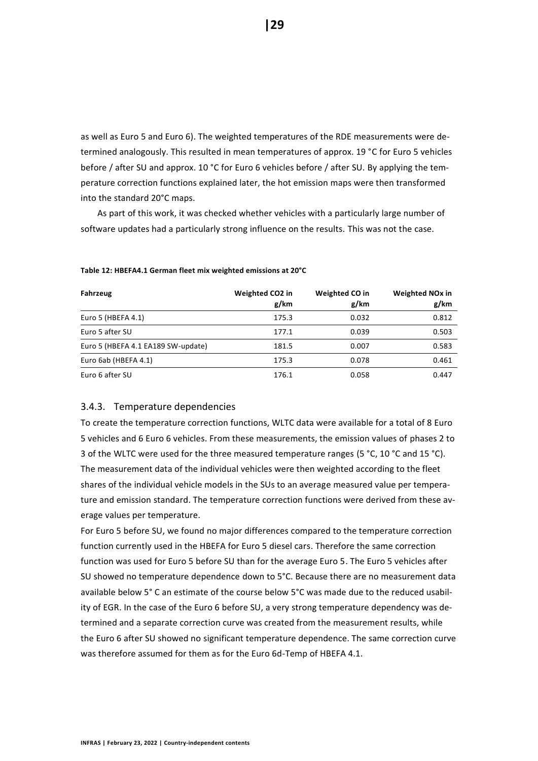as well as Euro 5 and Euro 6). The weighted temperatures of the RDE measurements were determined analogously. This resulted in mean temperatures of approx. 19 °C for Euro 5 vehicles before / after SU and approx. 10 °C for Euro 6 vehicles before / after SU. By applying the temperature correction functions explained later, the hot emission maps were then transformed into the standard 20°C maps.

As part of this work, it was checked whether vehicles with a particularly large number of software updates had a particularly strong influence on the results. This was not the case.

| Fahrzeug                           | Weighted CO2 in | <b>Weighted CO in</b> | <b>Weighted NO<sub>x</sub></b> in |
|------------------------------------|-----------------|-----------------------|-----------------------------------|
|                                    | g/km            | g/km                  | g/km                              |
| Euro 5 (HBEFA 4.1)                 | 175.3           | 0.032                 | 0.812                             |
| Euro 5 after SU                    | 177.1           | 0.039                 | 0.503                             |
| Euro 5 (HBEFA 4.1 EA189 SW-update) | 181.5           | 0.007                 | 0.583                             |
| Euro 6ab (HBEFA 4.1)               | 175.3           | 0.078                 | 0.461                             |
| Euro 6 after SU                    | 176.1           | 0.058                 | 0.447                             |

#### **Table 12: HBEFA4.1 German fleet mix weighted emissions at 20°C**

#### <span id="page-28-0"></span>3.4.3. Temperature dependencies

To create the temperature correction functions, WLTC data were available for a total of 8 Euro 5 vehicles and 6 Euro 6 vehicles. From these measurements, the emission values of phases 2 to 3 of the WLTC were used for the three measured temperature ranges (5 °C, 10 °C and 15 °C). The measurement data of the individual vehicles were then weighted according to the fleet shares of the individual vehicle models in the SUs to an average measured value per temperature and emission standard. The temperature correction functions were derived from these average values per temperature.

For Euro 5 before SU, we found no major differences compared to the temperature correction function currently used in the HBEFA for Euro 5 diesel cars. Therefore the same correction function was used for Euro 5 before SU than for the average Euro 5. The Euro 5 vehicles after SU showed no temperature dependence down to 5°C. Because there are no measurement data available below 5° C an estimate of the course below 5°C was made due to the reduced usability of EGR. In the case of the Euro 6 before SU, a very strong temperature dependency was determined and a separate correction curve was created from the measurement results, while the Euro 6 after SU showed no significant temperature dependence. The same correction curve was therefore assumed for them as for the Euro 6d-Temp of HBEFA 4.1.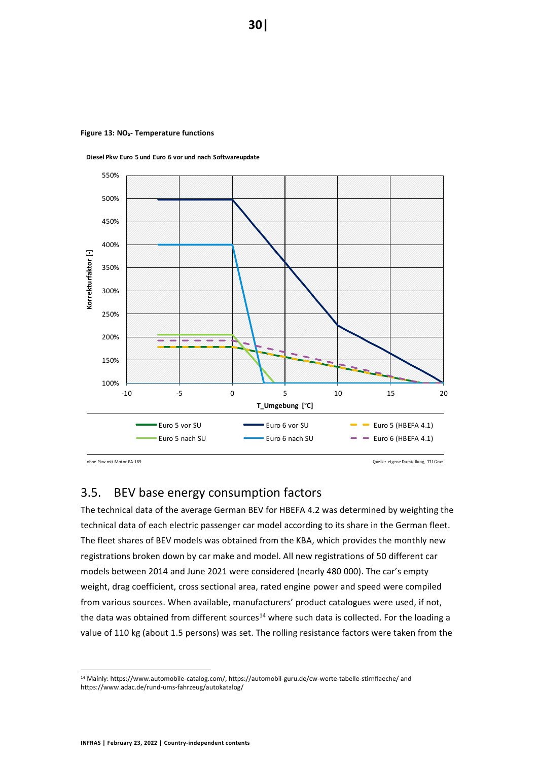

**Diesel Pkw Euro 5 und Euro 6 vor und nach Softwareupdate**

**Figure 13: NOx- Temperature functions**

ohne Pkw mit Motor EA-189 Quelle: eigene Darstellung, TU Graz

# <span id="page-29-0"></span>3.5. BEV base energy consumption factors

The technical data of the average German BEV for HBEFA 4.2 was determined by weighting the technical data of each electric passenger car model according to its share in the German fleet. The fleet shares of BEV models was obtained from the KBA, which provides the monthly new registrations broken down by car make and model. All new registrations of 50 different car models between 2014 and June 2021 were considered (nearly 480 000). The car's empty weight, drag coefficient, cross sectional area, rated engine power and speed were compiled from various sources. When available, manufacturers' product catalogues were used, if not, the data was obtained from different sources<sup>14</sup> where such data is collected. For the loading a value of 110 kg (about 1.5 persons) was set. The rolling resistance factors were taken from the

<sup>14</sup> Mainly: https://www.automobile-catalog.com/, https://automobil-guru.de/cw-werte-tabelle-stirnflaeche/ and https://www.adac.de/rund-ums-fahrzeug/autokatalog/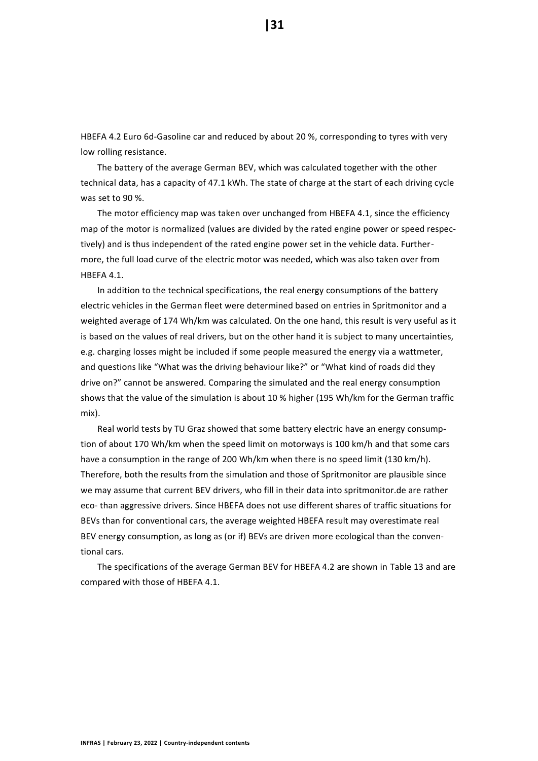HBEFA 4.2 Euro 6d-Gasoline car and reduced by about 20 %, corresponding to tyres with very low rolling resistance.

The battery of the average German BEV, which was calculated together with the other technical data, has a capacity of 47.1 kWh. The state of charge at the start of each driving cycle was set to 90 %.

The motor efficiency map was taken over unchanged from HBEFA 4.1, since the efficiency map of the motor is normalized (values are divided by the rated engine power or speed respectively) and is thus independent of the rated engine power set in the vehicle data. Furthermore, the full load curve of the electric motor was needed, which was also taken over from HBEFA 4.1.

In addition to the technical specifications, the real energy consumptions of the battery electric vehicles in the German fleet were determined based on entries in Spritmonitor and a weighted average of 174 Wh/km was calculated. On the one hand, this result is very useful as it is based on the values of real drivers, but on the other hand it is subject to many uncertainties, e.g. charging losses might be included if some people measured the energy via a wattmeter, and questions like "What was the driving behaviour like?" or "What kind of roads did they drive on?" cannot be answered. Comparing the simulated and the real energy consumption shows that the value of the simulation is about 10 % higher (195 Wh/km for the German traffic mix).

Real world tests by TU Graz showed that some battery electric have an energy consumption of about 170 Wh/km when the speed limit on motorways is 100 km/h and that some cars have a consumption in the range of 200 Wh/km when there is no speed limit (130 km/h). Therefore, both the results from the simulation and those of Spritmonitor are plausible since we may assume that current BEV drivers, who fill in their data into spritmonitor.de are rather eco- than aggressive drivers. Since HBEFA does not use different shares of traffic situations for BEVs than for conventional cars, the average weighted HBEFA result may overestimate real BEV energy consumption, as long as (or if) BEVs are driven more ecological than the conventional cars.

The specifications of the average German BEV for HBEFA 4.2 are shown in [Table 13](#page-31-1) and are compared with those of HBEFA 4.1.

**|31**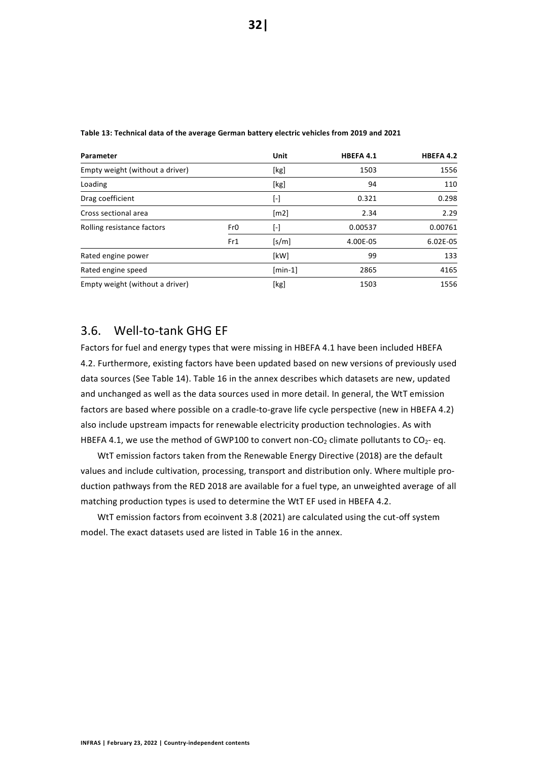| Parameter<br>Empty weight (without a driver) |     | Unit               | HBEFA 4.1 | HBEFA 4.2 |
|----------------------------------------------|-----|--------------------|-----------|-----------|
|                                              |     | [kg]               | 1503      | 1556      |
| Loading                                      |     | [kg]               | 94        | 110       |
| Drag coefficient                             |     | [-]                | 0.321     | 0.298     |
| Cross sectional area                         |     | $\lceil m2 \rceil$ | 2.34      | 2.29      |
| Rolling resistance factors                   | Fr0 | [-]                | 0.00537   | 0.00761   |
|                                              | Fr1 | [s/m]              | 4.00E-05  | 6.02E-05  |
| Rated engine power                           |     | [kW]               | 99        | 133       |
| Rated engine speed                           |     | $[min-1]$          | 2865      | 4165      |
| Empty weight (without a driver)              |     | [kg]               | 1503      | 1556      |

<span id="page-31-1"></span>**Table 13: Technical data of the average German battery electric vehicles from 2019 and 2021**

# <span id="page-31-0"></span>3.6. Well-to-tank GHG EF

Factors for fuel and energy types that were missing in HBEFA 4.1 have been included HBEFA 4.2. Furthermore, existing factors have been updated based on new versions of previously used data sources (See [Table 14\)](#page-32-3). [Table 16](#page-44-1) in the annex describes which datasets are new, updated and unchanged as well as the data sources used in more detail. In general, the WtT emission factors are based where possible on a cradle-to-grave life cycle perspective (new in HBEFA 4.2) also include upstream impacts for renewable electricity production technologies. As with HBEFA 4.1, we use the method of GWP100 to convert non-CO<sub>2</sub> climate pollutants to CO<sub>2</sub>- eq.

WtT emission factors taken from the Renewable Energy Directive (2018) are the default values and include cultivation, processing, transport and distribution only. Where multiple production pathways from the RED 2018 are available for a fuel type, an unweighted average of all matching production types is used to determine the WtT EF used in HBEFA 4.2.

WtT emission factors from ecoinvent 3.8 (2021) are calculated using the cut-off system model. The exact datasets used are listed in [Table 16](#page-44-1) in the annex.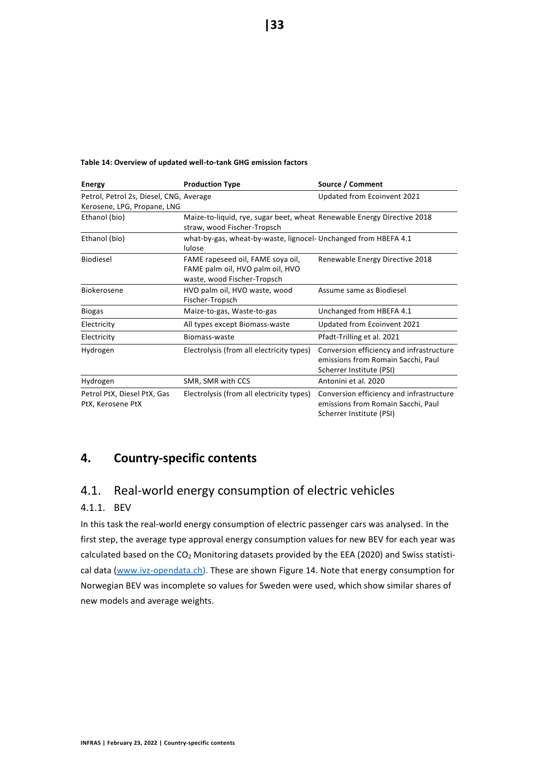| <b>Energy</b>                                                          | <b>Production Type</b>                                                                                 | Source / Comment                                                                                           |
|------------------------------------------------------------------------|--------------------------------------------------------------------------------------------------------|------------------------------------------------------------------------------------------------------------|
| Petrol, Petrol 2s, Diesel, CNG, Average<br>Kerosene, LPG, Propane, LNG |                                                                                                        | Updated from Ecoinvent 2021                                                                                |
| Ethanol (bio)                                                          | Maize-to-liquid, rye, sugar beet, wheat Renewable Energy Directive 2018<br>straw, wood Fischer-Tropsch |                                                                                                            |
| Ethanol (bio)                                                          | what-by-gas, wheat-by-waste, lignocel- Unchanged from HBEFA 4.1<br>lulose                              |                                                                                                            |
| Biodiesel                                                              | FAME rapeseed oil, FAME soya oil,<br>FAME palm oil, HVO palm oil, HVO<br>waste, wood Fischer-Tropsch   | Renewable Energy Directive 2018                                                                            |
| <b>Biokerosene</b>                                                     | HVO palm oil, HVO waste, wood<br>Fischer-Tropsch                                                       | Assume same as Biodiesel                                                                                   |
| <b>Biogas</b>                                                          | Maize-to-gas, Waste-to-gas                                                                             | Unchanged from HBEFA 4.1                                                                                   |
| Electricity                                                            | All types except Biomass-waste                                                                         | Updated from Ecoinvent 2021                                                                                |
| Electricity                                                            | Biomass-waste                                                                                          | Pfadt-Trilling et al. 2021                                                                                 |
| Hydrogen                                                               | Electrolysis (from all electricity types)                                                              | Conversion efficiency and infrastructure<br>emissions from Romain Sacchi, Paul<br>Scherrer Institute (PSI) |
| Hydrogen                                                               | SMR, SMR with CCS                                                                                      | Antonini et al. 2020                                                                                       |
| Petrol PtX, Diesel PtX, Gas<br>PtX, Kerosene PtX                       | Electrolysis (from all electricity types)                                                              | Conversion efficiency and infrastructure<br>emissions from Romain Sacchi, Paul<br>Scherrer Institute (PSI) |

#### <span id="page-32-3"></span>**Table 14: Overview of updated well-to-tank GHG emission factors**

# <span id="page-32-0"></span>**4. Country-specific contents**

# <span id="page-32-1"></span>4.1. Real-world energy consumption of electric vehicles

# <span id="page-32-2"></span>4.1.1. BEV

In this task the real-world energy consumption of electric passenger cars was analysed. In the first step, the average type approval energy consumption values for new BEV for each year was calculated based on the CO<sub>2</sub> Monitoring datasets provided by the EEA (2020) and Swiss statistical data [\(www.ivz-opendata.ch\)](http://www.ivz-opendata.ch/). These are shown [Figure 14.](#page-33-0) Note that energy consumption for Norwegian BEV was incomplete so values for Sweden were used, which show similar shares of new models and average weights.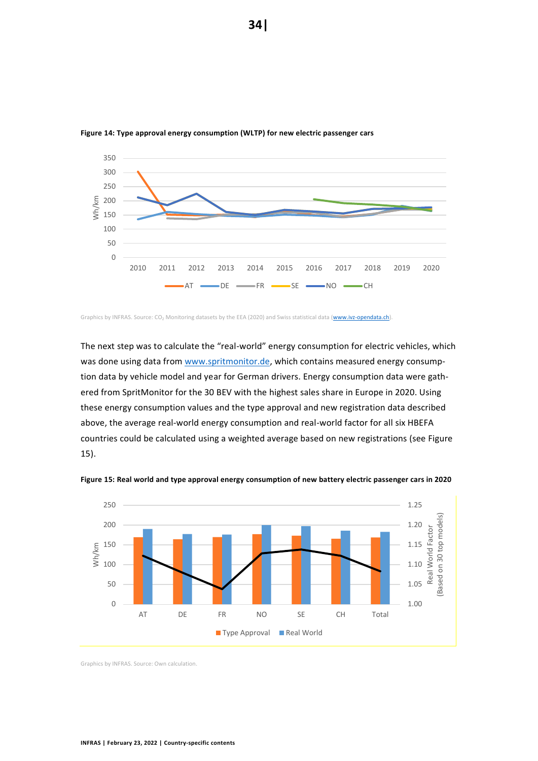

<span id="page-33-0"></span>**Figure 14: Type approval energy consumption (WLTP) for new electric passenger cars**

The next step was to calculate the "real-world" energy consumption for electric vehicles, which was done using data from [www.spritmonitor.de,](http://www.spritmonitor.de/) which contains measured energy consumption data by vehicle model and year for German drivers. Energy consumption data were gathered from SpritMonitor for the 30 BEV with the highest sales share in Europe in 2020. Using these energy consumption values and the type approval and new registration data described above, the average real-world energy consumption and real-world factor for all six HBEFA countries could be calculated using a weighted average based on new registrations (see [Figure](#page-33-1)  [15\)](#page-33-1).



<span id="page-33-1"></span>**Figure 15: Real world and type approval energy consumption of new battery electric passenger cars in 2020**

Graphics by INFRAS. Source: Own calculation.

Graphics by INFRAS. Source: CO<sub>2</sub> Monitoring datasets by the EEA (2020) and Swiss statistical data [\(www.ivz-opendata.ch\)](http://www.ivz-opendata.ch/).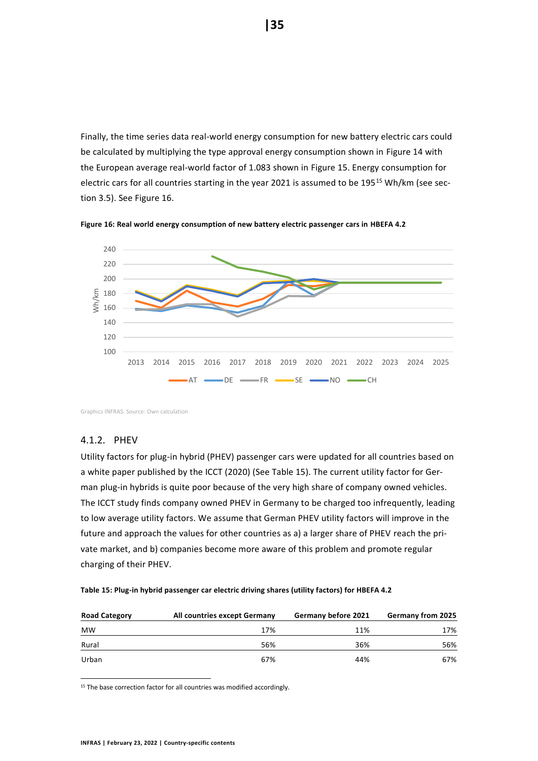Finally, the time series data real-world energy consumption for new battery electric cars could be calculated by multiplying the type approval energy consumption shown in [Figure 14](#page-33-0) with the European average real-world factor of 1.083 shown in [Figure 15.](#page-33-1) Energy consumption for electric cars for all countries starting in the year 2021 is assumed to be 195<sup>15</sup> Wh/km (see section [3.5\)](#page-29-0). See [Figure 16.](#page-34-1)



<span id="page-34-1"></span>**Figure 16: Real world energy consumption of new battery electric passenger cars in HBEFA 4.2**

Graphics INFRAS. Source: Own calculation

# <span id="page-34-0"></span>4.1.2. PHEV

Utility factors for plug-in hybrid (PHEV) passenger cars were updated for all countries based on a white paper published by the ICCT (2020) (See [Table 15\)](#page-34-2). The current utility factor for German plug-in hybrids is quite poor because of the very high share of company owned vehicles. The ICCT study finds company owned PHEV in Germany to be charged too infrequently, leading to low average utility factors. We assume that German PHEV utility factors will improve in the future and approach the values for other countries as a) a larger share of PHEV reach the private market, and b) companies become more aware of this problem and promote regular charging of their PHEV.

<span id="page-34-2"></span>

|  |  | Table 15: Plug-in hybrid passenger car electric driving shares (utility factors) for HBEFA 4.2 |  |  |
|--|--|------------------------------------------------------------------------------------------------|--|--|
|--|--|------------------------------------------------------------------------------------------------|--|--|

| <b>Road Category</b> | All countries except Germany | Germany before 2021 | <b>Germany from 2025</b> |
|----------------------|------------------------------|---------------------|--------------------------|
| <b>MW</b>            | 17%                          | 11%                 | 17%                      |
| Rural                | 56%                          | 36%                 | 56%                      |
| Urban                | 67%                          | 44%                 | 67%                      |

<sup>15</sup> The base correction factor for all countries was modified accordingly.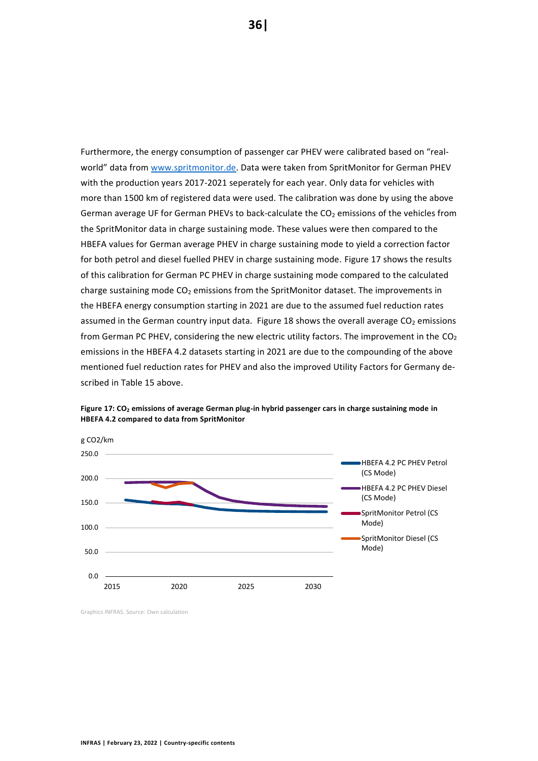Furthermore, the energy consumption of passenger car PHEV were calibrated based on "realworld" data from [www.spritmonitor.de.](http://www.spritmonitor.de/) Data were taken from SpritMonitor for German PHEV with the production years 2017-2021 seperately for each year. Only data for vehicles with more than 1500 km of registered data were used. The calibration was done by using the above German average UF for German PHEVs to back-calculate the  $CO<sub>2</sub>$  emissions of the vehicles from the SpritMonitor data in charge sustaining mode. These values were then compared to the HBEFA values for German average PHEV in charge sustaining mode to yield a correction factor for both petrol and diesel fuelled PHEV in charge sustaining mode. [Figure 17](#page-35-0) shows the results of this calibration for German PC PHEV in charge sustaining mode compared to the calculated charge sustaining mode  $CO<sub>2</sub>$  emissions from the SpritMonitor dataset. The improvements in the HBEFA energy consumption starting in 2021 are due to the assumed fuel reduction rates assumed in the German country input data. [Figure 18](#page-36-3) shows the overall average  $CO<sub>2</sub>$  emissions from German PC PHEV, considering the new electric utility factors. The improvement in the  $CO<sub>2</sub>$ emissions in the HBEFA 4.2 datasets starting in 2021 are due to the compounding of the above mentioned fuel reduction rates for PHEV and also the improved Utility Factors for Germany described in [Table 15](#page-34-2) above.



<span id="page-35-0"></span>**Figure 17: CO<sup>2</sup> emissions of average German plug-in hybrid passenger cars in charge sustaining mode in HBEFA 4.2 compared to data from SpritMonitor**

Graphics INFRAS. Source: Own calculation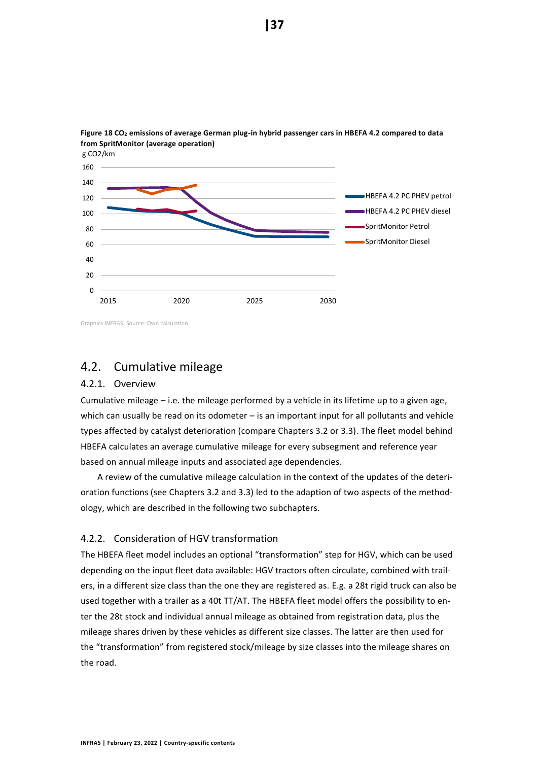

<span id="page-36-3"></span>

Graphics INFRAS. Source: Own calculation

# <span id="page-36-0"></span>4.2. Cumulative mileage

#### <span id="page-36-1"></span>4.2.1. Overview

Cumulative mileage – i.e. the mileage performed by a vehicle in its lifetime up to a given age, which can usually be read on its odometer - is an important input for all pollutants and vehicle types affected by catalyst deterioration (compare Chapters [3.2](#page-18-0) or [3.3\)](#page-24-0). The fleet model behind HBEFA calculates an average cumulative mileage for every subsegment and reference year based on annual mileage inputs and associated age dependencies.

A review of the cumulative mileage calculation in the context of the updates of the deterioration functions (see Chapters [3.2](#page-18-0) and [3.3\)](#page-24-0) led to the adaption of two aspects of the methodology, which are described in the following two subchapters.

#### <span id="page-36-2"></span>4.2.2. Consideration of HGV transformation

The HBEFA fleet model includes an optional "transformation" step for HGV, which can be used depending on the input fleet data available: HGV tractors often circulate, combined with trailers, in a different size class than the one they are registered as. E.g. a 28t rigid truck can also be used together with a trailer as a 40t TT/AT. The HBEFA fleet model offers the possibility to enter the 28t stock and individual annual mileage as obtained from registration data, plus the mileage shares driven by these vehicles as different size classes. The latter are then used for the "transformation" from registered stock/mileage by size classes into the mileage shares on the road.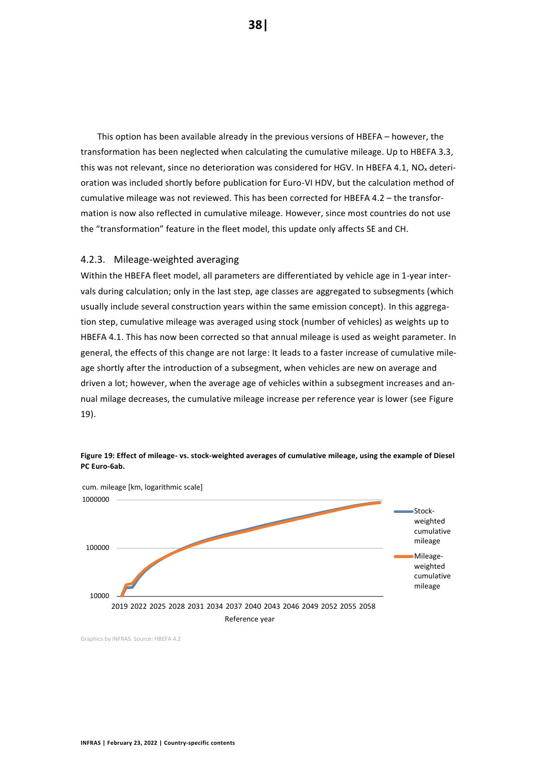This option has been available already in the previous versions of HBEFA – however, the transformation has been neglected when calculating the cumulative mileage. Up to HBEFA 3.3, this was not relevant, since no deterioration was considered for HGV. In HBEFA 4.1, NO<sub>x</sub> deterioration was included shortly before publication for Euro-VI HDV, but the calculation method of cumulative mileage was not reviewed. This has been corrected for HBEFA 4.2 – the transformation is now also reflected in cumulative mileage. However, since most countries do not use the "transformation" feature in the fleet model, this update only affects SE and CH.

#### <span id="page-37-0"></span>4.2.3. Mileage-weighted averaging

Within the HBEFA fleet model, all parameters are differentiated by vehicle age in 1-year intervals during calculation; only in the last step, age classes are aggregated to subsegments (which usually include several construction years within the same emission concept). In this aggregation step, cumulative mileage was averaged using stock (number of vehicles) as weights up to HBEFA 4.1. This has now been corrected so that annual mileage is used as weight parameter. In general, the effects of this change are not large: It leads to a faster increase of cumulative mileage shortly after the introduction of a subsegment, when vehicles are new on average and driven a lot; however, when the average age of vehicles within a subsegment increases and annual milage decreases, the cumulative mileage increase per reference year is lower (se[e Figure](#page-37-1)  [19\)](#page-37-1).



<span id="page-37-1"></span>**Figure 19: Effect of mileage- vs. stock-weighted averages of cumulative mileage, using the example of Diesel PC Euro-6ab.**

Graphics by INFRAS. Source: HBEFA 4.2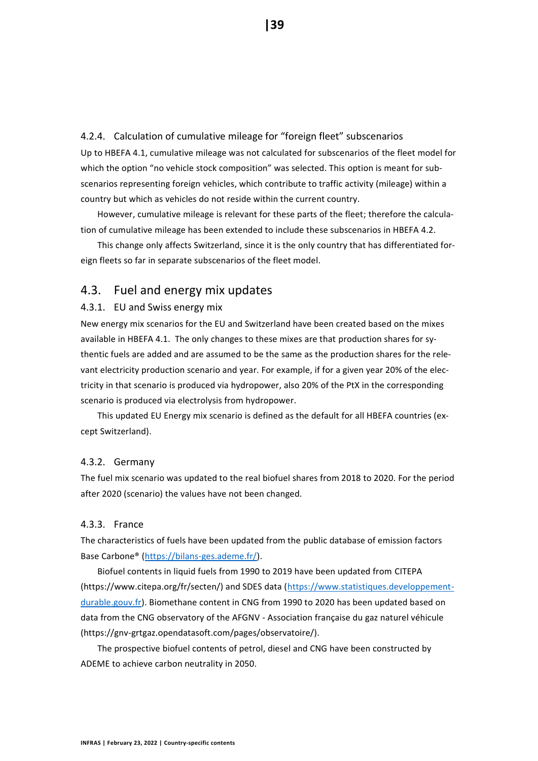<span id="page-38-1"></span>4.2.4. Calculation of cumulative mileage for "foreign fleet" subscenarios Up to HBEFA 4.1, cumulative mileage was not calculated for subscenarios of the fleet model for which the option "no vehicle stock composition" was selected. This option is meant for subscenarios representing foreign vehicles, which contribute to traffic activity (mileage) within a country but which as vehicles do not reside within the current country.

However, cumulative mileage is relevant for these parts of the fleet; therefore the calculation of cumulative mileage has been extended to include these subscenarios in HBEFA 4.2.

This change only affects Switzerland, since it is the only country that has differentiated foreign fleets so far in separate subscenarios of the fleet model.

# <span id="page-38-0"></span>4.3. Fuel and energy mix updates

#### <span id="page-38-2"></span>4.3.1. EU and Swiss energy mix

New energy mix scenarios for the EU and Switzerland have been created based on the mixes available in HBEFA 4.1. The only changes to these mixes are that production shares for sythentic fuels are added and are assumed to be the same as the production shares for the relevant electricity production scenario and year. For example, if for a given year 20% of the electricity in that scenario is produced via hydropower, also 20% of the PtX in the corresponding scenario is produced via electrolysis from hydropower.

This updated EU Energy mix scenario is defined as the default for all HBEFA countries (except Switzerland).

#### <span id="page-38-3"></span>4.3.2. Germany

The fuel mix scenario was updated to the real biofuel shares from 2018 to 2020. For the period after 2020 (scenario) the values have not been changed.

#### <span id="page-38-4"></span>4.3.3. France

The characteristics of fuels have been updated from the public database of emission factors Base Carbone® [\(https://bilans-ges.ademe.fr/\)](https://bilans-ges.ademe.fr/).

Biofuel contents in liquid fuels from 1990 to 2019 have been updated from CITEPA (https://www.citepa.org/fr/secten/) and SDES data [\(https://www.statistiques.developpement](https://www.statistiques.developpement-durable.gouv.fr/)[durable.gouv.fr\)](https://www.statistiques.developpement-durable.gouv.fr/). Biomethane content in CNG from 1990 to 2020 has been updated based on data from the CNG observatory of the AFGNV - Association française du gaz naturel véhicule (https://gnv-grtgaz.opendatasoft.com/pages/observatoire/).

The prospective biofuel contents of petrol, diesel and CNG have been constructed by ADEME to achieve carbon neutrality in 2050.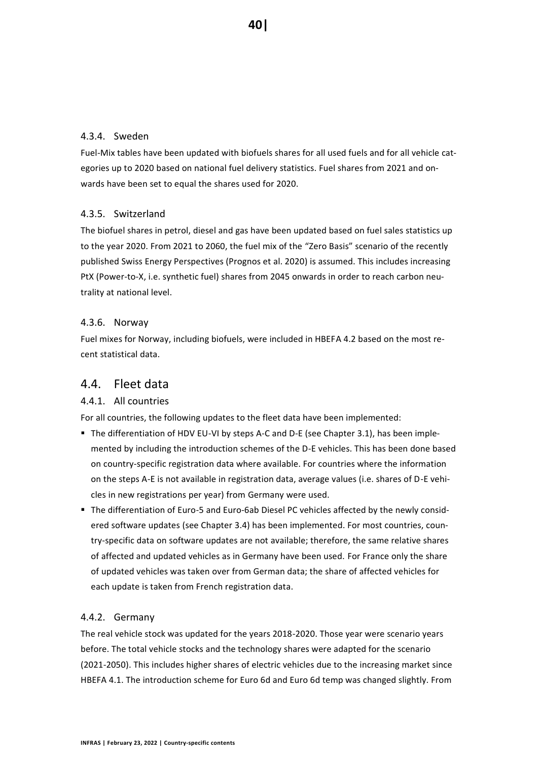### <span id="page-39-1"></span>4.3.4. Sweden

Fuel-Mix tables have been updated with biofuels shares for all used fuels and for all vehicle categories up to 2020 based on national fuel delivery statistics. Fuel shares from 2021 and onwards have been set to equal the shares used for 2020.

### <span id="page-39-2"></span>4.3.5. Switzerland

The biofuel shares in petrol, diesel and gas have been updated based on fuel sales statistics up to the year 2020. From 2021 to 2060, the fuel mix of the "Zero Basis" scenario of the recently published Swiss Energy Perspectives (Prognos et al. 2020) is assumed. This includes increasing PtX (Power-to-X, i.e. synthetic fuel) shares from 2045 onwards in order to reach carbon neutrality at national level.

### <span id="page-39-3"></span>4.3.6. Norway

Fuel mixes for Norway, including biofuels, were included in HBEFA 4.2 based on the most recent statistical data.

# <span id="page-39-0"></span>4.4. Fleet data

#### <span id="page-39-4"></span>4.4.1. All countries

For all countries, the following updates to the fleet data have been implemented:

- The differentiation of HDV EU-VI by steps A-C and D-E (see Chapter [3.1\)](#page-13-1), has been implemented by including the introduction schemes of the D-E vehicles. This has been done based on country-specific registration data where available. For countries where the information on the steps A-E is not available in registration data, average values (i.e. shares of D-E vehicles in new registrations per year) from Germany were used.
- The differentiation of Euro-5 and Euro-6ab Diesel PC vehicles affected by the newly considered software updates (see Chapte[r 3.4\)](#page-27-0) has been implemented. For most countries, country-specific data on software updates are not available; therefore, the same relative shares of affected and updated vehicles as in Germany have been used. For France only the share of updated vehicles was taken over from German data; the share of affected vehicles for each update is taken from French registration data.

#### <span id="page-39-5"></span>4.4.2. Germany

The real vehicle stock was updated for the years 2018-2020. Those year were scenario years before. The total vehicle stocks and the technology shares were adapted for the scenario (2021-2050). This includes higher shares of electric vehicles due to the increasing market since HBEFA 4.1. The introduction scheme for Euro 6d and Euro 6d temp was changed slightly. From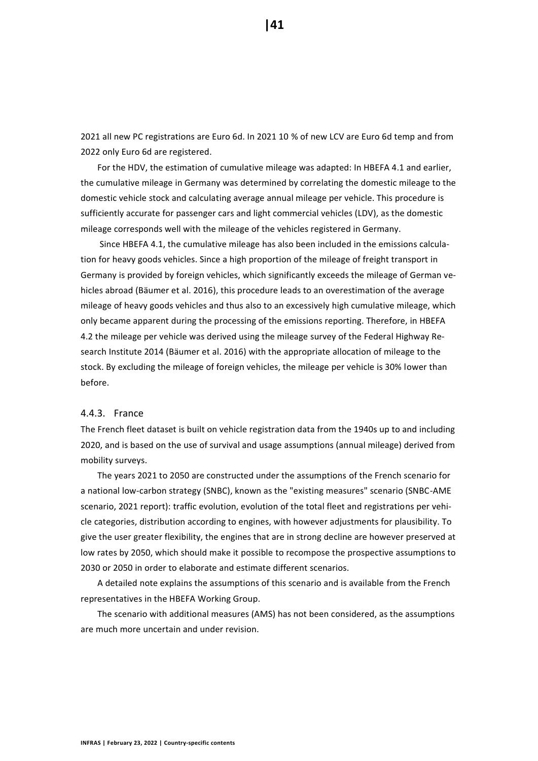2021 all new PC registrations are Euro 6d. In 2021 10 % of new LCV are Euro 6d temp and from 2022 only Euro 6d are registered.

For the HDV, the estimation of cumulative mileage was adapted: In HBEFA 4.1 and earlier, the cumulative mileage in Germany was determined by correlating the domestic mileage to the domestic vehicle stock and calculating average annual mileage per vehicle. This procedure is sufficiently accurate for passenger cars and light commercial vehicles (LDV), as the domestic mileage corresponds well with the mileage of the vehicles registered in Germany.

Since HBEFA 4.1, the cumulative mileage has also been included in the emissions calculation for heavy goods vehicles. Since a high proportion of the mileage of freight transport in Germany is provided by foreign vehicles, which significantly exceeds the mileage of German vehicles abroad (Bäumer et al. 2016), this procedure leads to an overestimation of the average mileage of heavy goods vehicles and thus also to an excessively high cumulative mileage, which only became apparent during the processing of the emissions reporting. Therefore, in HBEFA 4.2 the mileage per vehicle was derived using the mileage survey of the Federal Highway Research Institute 2014 (Bäumer et al. 2016) with the appropriate allocation of mileage to the stock. By excluding the mileage of foreign vehicles, the mileage per vehicle is 30% lower than before.

#### <span id="page-40-0"></span>4.4.3. France

The French fleet dataset is built on vehicle registration data from the 1940s up to and including 2020, and is based on the use of survival and usage assumptions (annual mileage) derived from mobility surveys.

The years 2021 to 2050 are constructed under the assumptions of the French scenario for a national low-carbon strategy (SNBC), known as the "existing measures" scenario (SNBC-AME scenario, 2021 report): traffic evolution, evolution of the total fleet and registrations per vehicle categories, distribution according to engines, with however adjustments for plausibility. To give the user greater flexibility, the engines that are in strong decline are however preserved at low rates by 2050, which should make it possible to recompose the prospective assumptions to 2030 or 2050 in order to elaborate and estimate different scenarios.

A detailed note explains the assumptions of this scenario and is available from the French representatives in the HBEFA Working Group.

The scenario with additional measures (AMS) has not been considered, as the assumptions are much more uncertain and under revision.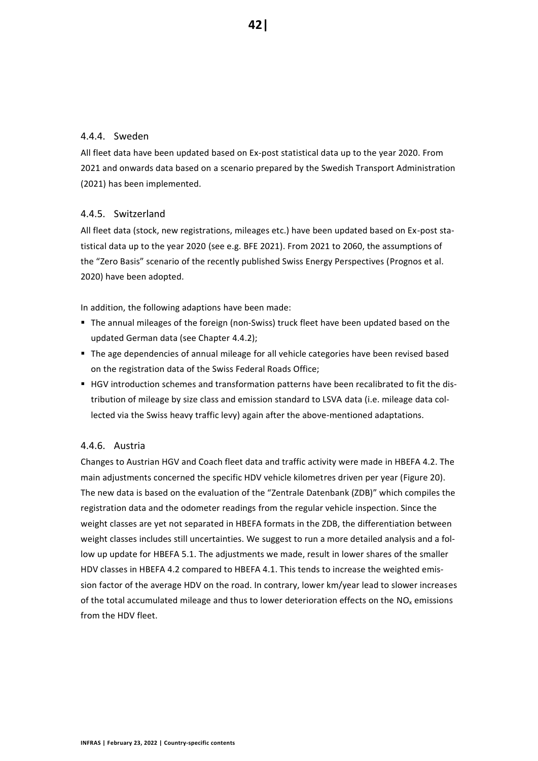# <span id="page-41-0"></span>4.4.4. Sweden

All fleet data have been updated based on Ex-post statistical data up to the year 2020. From 2021 and onwards data based on a scenario prepared by the Swedish Transport Administration (2021) has been implemented.

### <span id="page-41-1"></span>4.4.5. Switzerland

All fleet data (stock, new registrations, mileages etc.) have been updated based on Ex-post statistical data up to the year 2020 (see e.g. BFE 2021). From 2021 to 2060, the assumptions of the "Zero Basis" scenario of the recently published Swiss Energy Perspectives (Prognos et al. 2020) have been adopted.

In addition, the following adaptions have been made:

- The annual mileages of the foreign (non-Swiss) truck fleet have been updated based on the updated German data (see Chapter [4.4.2\)](#page-39-5);
- The age dependencies of annual mileage for all vehicle categories have been revised based on the registration data of the Swiss Federal Roads Office;
- HGV introduction schemes and transformation patterns have been recalibrated to fit the distribution of mileage by size class and emission standard to LSVA data (i.e. mileage data collected via the Swiss heavy traffic levy) again after the above-mentioned adaptations.

# <span id="page-41-2"></span>4.4.6. Austria

Changes to Austrian HGV and Coach fleet data and traffic activity were made in HBEFA 4.2. The main adjustments concerned the specific HDV vehicle kilometres driven per year [\(Figure 20\)](#page-42-2). The new data is based on the evaluation of the "Zentrale Datenbank (ZDB)" which compiles the registration data and the odometer readings from the regular vehicle inspection. Since the weight classes are yet not separated in HBEFA formats in the ZDB, the differentiation between weight classes includes still uncertainties. We suggest to run a more detailed analysis and a follow up update for HBEFA 5.1. The adjustments we made, result in lower shares of the smaller HDV classes in HBEFA 4.2 compared to HBEFA 4.1. This tends to increase the weighted emission factor of the average HDV on the road. In contrary, lower km/year lead to slower increases of the total accumulated mileage and thus to lower deterioration effects on the  $NO<sub>x</sub>$  emissions from the HDV fleet.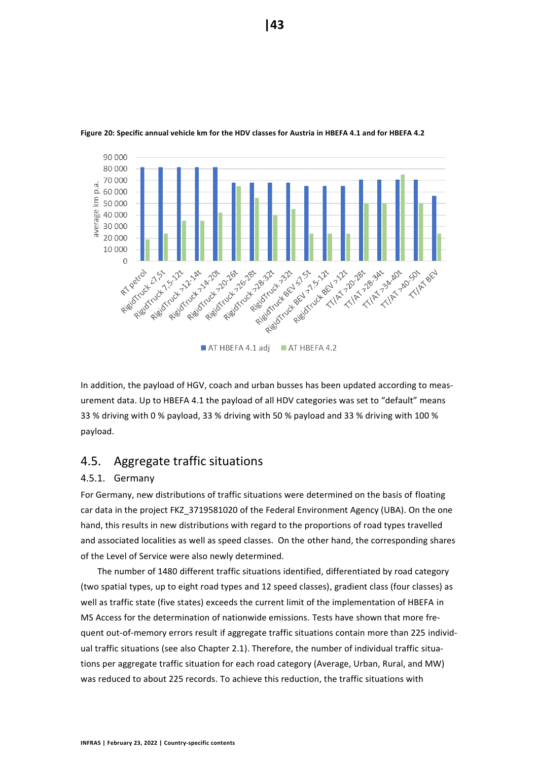

#### <span id="page-42-2"></span>**Figure 20: Specific annual vehicle km for the HDV classes for Austria in HBEFA 4.1 and for HBEFA 4.2**

In addition, the payload of HGV, coach and urban busses has been updated according to measurement data. Up to HBEFA 4.1 the payload of all HDV categories was set to "default" means 33 % driving with 0 % payload, 33 % driving with 50 % payload and 33 % driving with 100 % payload.

# <span id="page-42-0"></span>4.5. Aggregate traffic situations

#### <span id="page-42-1"></span>4.5.1. Germany

For Germany, new distributions of traffic situations were determined on the basis of floating car data in the project FKZ 3719581020 of the Federal Environment Agency (UBA). On the one hand, this results in new distributions with regard to the proportions of road types travelled and associated localities as well as speed classes. On the other hand, the corresponding shares of the Level of Service were also newly determined.

The number of 1480 different traffic situations identified, differentiated by road category (two spatial types, up to eight road types and 12 speed classes), gradient class (four classes) as well as traffic state (five states) exceeds the current limit of the implementation of HBEFA in MS Access for the determination of nationwide emissions. Tests have shown that more frequent out-of-memory errors result if aggregate traffic situations contain more than 225 individual traffic situations (see also Chapter [2.1\)](#page-11-1). Therefore, the number of individual traffic situations per aggregate traffic situation for each road category (Average, Urban, Rural, and MW) was reduced to about 225 records. To achieve this reduction, the traffic situations with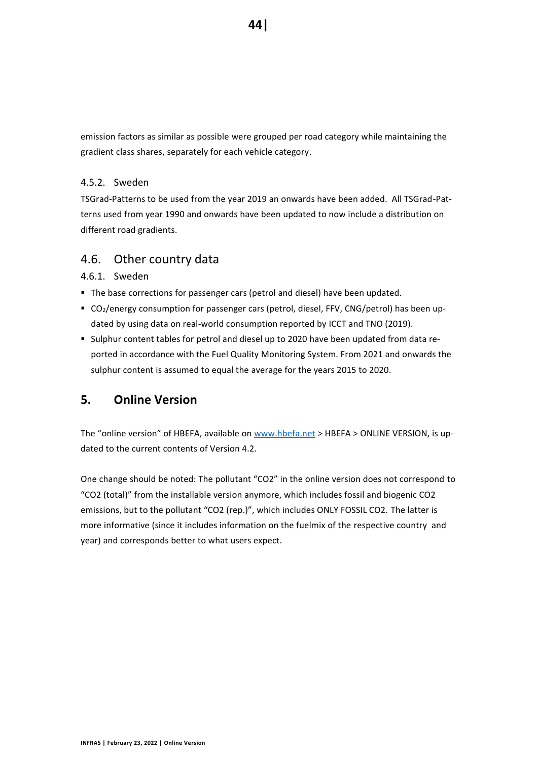emission factors as similar as possible were grouped per road category while maintaining the gradient class shares, separately for each vehicle category.

### <span id="page-43-2"></span>4.5.2. Sweden

TSGrad-Patterns to be used from the year 2019 an onwards have been added. All TSGrad-Patterns used from year 1990 and onwards have been updated to now include a distribution on different road gradients.

# <span id="page-43-0"></span>4.6. Other country data

### <span id="page-43-3"></span>4.6.1. Sweden

- The base corrections for passenger cars (petrol and diesel) have been updated.
- CO<sub>2</sub>/energy consumption for passenger cars (petrol, diesel, FFV, CNG/petrol) has been updated by using data on real-world consumption reported by ICCT and TNO (2019).
- Sulphur content tables for petrol and diesel up to 2020 have been updated from data reported in accordance with the Fuel Quality Monitoring System. From 2021 and onwards the sulphur content is assumed to equal the average for the years 2015 to 2020.

# <span id="page-43-1"></span>**5. Online Version**

The "online version" of HBEFA, available on <www.hbefa.net> > HBEFA > ONLINE VERSION, is updated to the current contents of Version 4.2.

One change should be noted: The pollutant "CO2" in the online version does not correspond to "CO2 (total)" from the installable version anymore, which includes fossil and biogenic CO2 emissions, but to the pollutant "CO2 (rep.)", which includes ONLY FOSSIL CO2. The latter is more informative (since it includes information on the fuelmix of the respective country and year) and corresponds better to what users expect.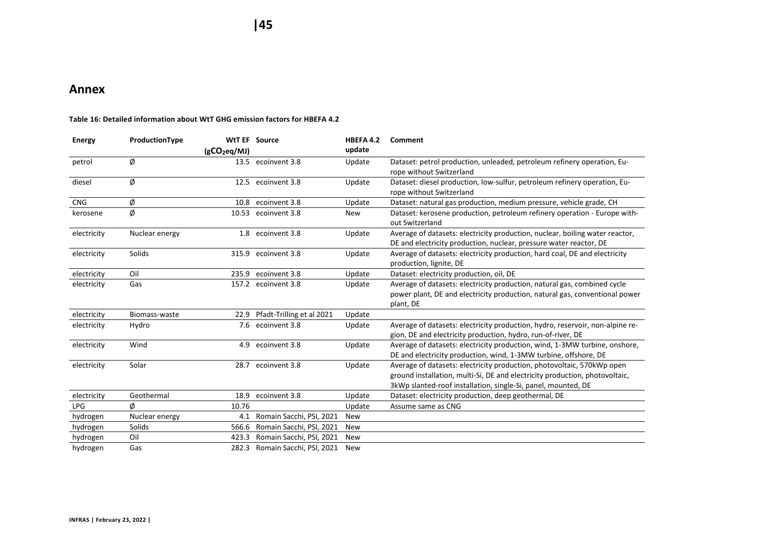**|45**

# **Annex**

<span id="page-44-1"></span><span id="page-44-0"></span>

| <b>Energy</b> | ProductionType |                          | <b>WtT EF Source</b>           | HBEFA 4.2  | Comment                                                                                                                                                                                                                |
|---------------|----------------|--------------------------|--------------------------------|------------|------------------------------------------------------------------------------------------------------------------------------------------------------------------------------------------------------------------------|
|               |                | (gCO <sub>2eq</sub> /MJ) |                                | update     |                                                                                                                                                                                                                        |
| petrol        | Ø              |                          | 13.5 ecoinvent 3.8             | Update     | Dataset: petrol production, unleaded, petroleum refinery operation, Eu-<br>rope without Switzerland                                                                                                                    |
| diesel        | Ø              |                          | 12.5 ecoinvent 3.8             | Update     | Dataset: diesel production, low-sulfur, petroleum refinery operation, Eu-<br>rope without Switzerland                                                                                                                  |
| <b>CNG</b>    | Ø              |                          | 10.8 ecoinvent 3.8             | Update     | Dataset: natural gas production, medium pressure, vehicle grade, CH                                                                                                                                                    |
| kerosene      | Ø              | 10.53                    | ecoinvent 3.8                  | <b>New</b> | Dataset: kerosene production, petroleum refinery operation - Europe with-<br>out Switzerland                                                                                                                           |
| electricity   | Nuclear energy |                          | 1.8 ecoinvent 3.8              | Update     | Average of datasets: electricity production, nuclear, boiling water reactor,<br>DE and electricity production, nuclear, pressure water reactor, DE                                                                     |
| electricity   | Solids         |                          | 315.9 ecoinvent 3.8            | Update     | Average of datasets: electricity production, hard coal, DE and electricity<br>production, lignite, DE                                                                                                                  |
| electricity   | Oil            |                          | 235.9 ecoinvent 3.8            | Update     | Dataset: electricity production, oil, DE                                                                                                                                                                               |
| electricity   | Gas            |                          | 157.2 ecoinvent 3.8            | Update     | Average of datasets: electricity production, natural gas, combined cycle<br>power plant, DE and electricity production, natural gas, conventional power<br>plant, DE                                                   |
| electricity   | Biomass-waste  | 22.9                     | Pfadt-Trilling et al 2021      | Update     |                                                                                                                                                                                                                        |
| electricity   | Hydro          |                          | 7.6 ecoinvent 3.8              | Update     | Average of datasets: electricity production, hydro, reservoir, non-alpine re-<br>gion, DE and electricity production, hydro, run-of-river, DE                                                                          |
| electricity   | Wind           |                          | 4.9 ecoinvent 3.8              | Update     | Average of datasets: electricity production, wind, 1-3MW turbine, onshore,<br>DE and electricity production, wind, 1-3MW turbine, offshore, DE                                                                         |
| electricity   | Solar          |                          | 28.7 ecoinvent 3.8             | Update     | Average of datasets: electricity production, photovoltaic, 570kWp open<br>ground installation, multi-Si, DE and electricity production, photovoltaic,<br>3kWp slanted-roof installation, single-Si, panel, mounted, DE |
| electricity   | Geothermal     | 18.9                     | ecoinvent 3.8                  | Update     | Dataset: electricity production, deep geothermal, DE                                                                                                                                                                   |
| <b>LPG</b>    | Ø              | 10.76                    |                                | Update     | Assume same as CNG                                                                                                                                                                                                     |
| hydrogen      | Nuclear energy | 4.1                      | Romain Sacchi, PSI, 2021       | New        |                                                                                                                                                                                                                        |
| hydrogen      | Solids         | 566.6                    | Romain Sacchi, PSI, 2021       | <b>New</b> |                                                                                                                                                                                                                        |
| hydrogen      | Oil            | 423.3                    | Romain Sacchi, PSI, 2021       | <b>New</b> |                                                                                                                                                                                                                        |
| hydrogen      | Gas            |                          | 282.3 Romain Sacchi, PSI, 2021 | <b>New</b> |                                                                                                                                                                                                                        |

#### **Table 16: Detailed information about WtT GHG emission factors for HBEFA 4.2**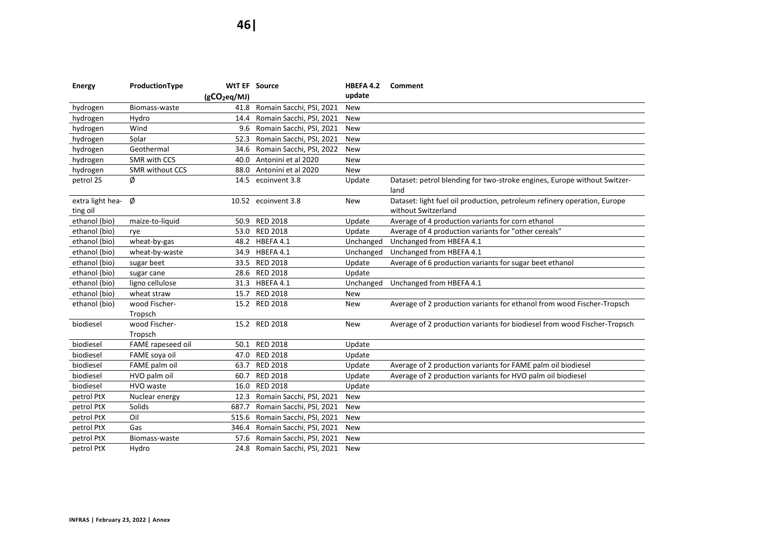| <b>Energy</b>    | ProductionType         |                          | <b>WtT EF Source</b>          | HBEFA 4.2  | Comment                                                                  |
|------------------|------------------------|--------------------------|-------------------------------|------------|--------------------------------------------------------------------------|
|                  |                        | (gCO <sub>2</sub> eq/MJ) |                               | update     |                                                                          |
| hydrogen         | Biomass-waste          |                          | 41.8 Romain Sacchi, PSI, 2021 | New        |                                                                          |
| hydrogen         | Hydro                  | 14.4                     | Romain Sacchi, PSI, 2021      | New        |                                                                          |
| hydrogen         | Wind                   | 9.6                      | Romain Sacchi, PSI, 2021      | <b>New</b> |                                                                          |
| hydrogen         | Solar                  | 52.3                     | Romain Sacchi, PSI, 2021      | <b>New</b> |                                                                          |
| hydrogen         | Geothermal             | 34.6                     | Romain Sacchi, PSI, 2022      | <b>New</b> |                                                                          |
| hydrogen         | SMR with CCS           |                          | 40.0 Antonini et al 2020      | New        |                                                                          |
| hydrogen         | <b>SMR without CCS</b> |                          | 88.0 Antonini et al 2020      | New        |                                                                          |
| petrol 2S        | Ø                      |                          | 14.5 ecoinvent 3.8            | Update     | Dataset: petrol blending for two-stroke engines, Europe without Switzer- |
|                  |                        |                          |                               |            | land                                                                     |
| extra light hea- | Ø                      |                          | 10.52 ecoinvent 3.8           | New        | Dataset: light fuel oil production, petroleum refinery operation, Europe |
| ting oil         |                        |                          |                               |            | without Switzerland                                                      |
| ethanol (bio)    | maize-to-liquid        | 50.9                     | <b>RED 2018</b>               | Update     | Average of 4 production variants for corn ethanol                        |
| ethanol (bio)    | rye                    |                          | 53.0 RED 2018                 | Update     | Average of 4 production variants for "other cereals"                     |
| ethanol (bio)    | wheat-by-gas           |                          | 48.2 HBEFA 4.1                | Unchanged  | Unchanged from HBEFA 4.1                                                 |
| ethanol (bio)    | wheat-by-waste         |                          | 34.9 HBEFA 4.1                | Unchanged  | Unchanged from HBEFA 4.1                                                 |
| ethanol (bio)    | sugar beet             |                          | 33.5 RED 2018                 | Update     | Average of 6 production variants for sugar beet ethanol                  |
| ethanol (bio)    | sugar cane             |                          | 28.6 RED 2018                 | Update     |                                                                          |
| ethanol (bio)    | ligno cellulose        |                          | 31.3 HBEFA 4.1                | Unchanged  | Unchanged from HBEFA 4.1                                                 |
| ethanol (bio)    | wheat straw            |                          | 15.7 RED 2018                 | <b>New</b> |                                                                          |
| ethanol (bio)    | wood Fischer-          |                          | 15.2 RED 2018                 | New        | Average of 2 production variants for ethanol from wood Fischer-Tropsch   |
|                  | Tropsch                |                          |                               |            |                                                                          |
| biodiesel        | wood Fischer-          |                          | 15.2 RED 2018                 | New        | Average of 2 production variants for biodiesel from wood Fischer-Tropsch |
|                  | Tropsch                |                          |                               |            |                                                                          |
| biodiesel        | FAME rapeseed oil      |                          | 50.1 RED 2018                 | Update     |                                                                          |
| biodiesel        | FAME soya oil          |                          | 47.0 RED 2018                 | Update     |                                                                          |
| biodiesel        | FAME palm oil          | 63.7                     | <b>RED 2018</b>               | Update     | Average of 2 production variants for FAME palm oil biodiesel             |
| biodiesel        | HVO palm oil           | 60.7                     | <b>RED 2018</b>               | Update     | Average of 2 production variants for HVO palm oil biodiesel              |
| biodiesel        | HVO waste              | 16.0                     | <b>RED 2018</b>               | Update     |                                                                          |
| petrol PtX       | Nuclear energy         | 12.3                     | Romain Sacchi, PSI, 2021      | <b>New</b> |                                                                          |
| petrol PtX       | Solids                 | 687.7                    | Romain Sacchi, PSI, 2021      | New        |                                                                          |
| petrol PtX       | Oil                    | 515.6                    | Romain Sacchi, PSI, 2021      | <b>New</b> |                                                                          |
| petrol PtX       | Gas                    | 346.4                    | Romain Sacchi, PSI, 2021      | <b>New</b> |                                                                          |
| petrol PtX       | Biomass-waste          | 57.6                     | Romain Sacchi, PSI, 2021      | New        |                                                                          |
| petrol PtX       | Hydro                  |                          | 24.8 Romain Sacchi, PSI, 2021 | <b>New</b> |                                                                          |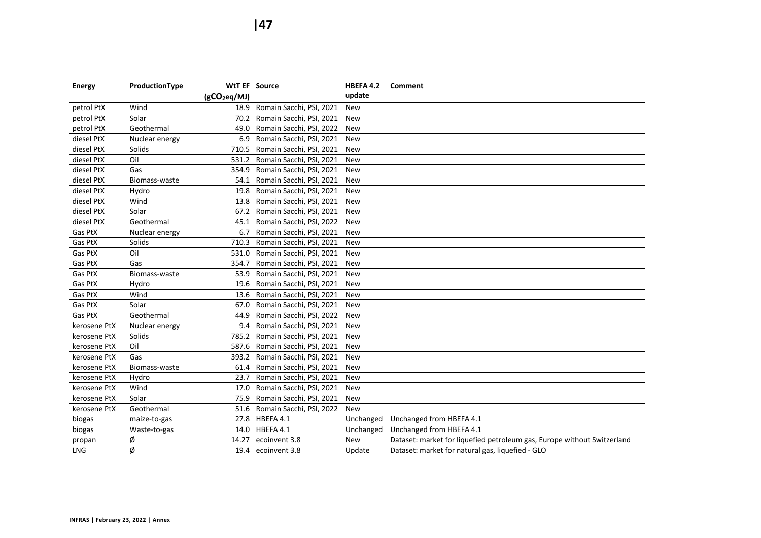| BEFA 4.2 | Comment |  |
|----------|---------|--|
|          |         |  |

| <b>Energy</b>               | ProductionType |                          | <b>WtT EF Source</b>           | <b>HBEFA 4.2</b> | Comment                                                                 |
|-----------------------------|----------------|--------------------------|--------------------------------|------------------|-------------------------------------------------------------------------|
|                             |                | (gCO <sub>2</sub> eq/MJ) |                                | update           |                                                                         |
| petrol PtX                  | Wind           |                          | 18.9 Romain Sacchi, PSI, 2021  | <b>New</b>       |                                                                         |
| petrol PtX                  | Solar          |                          | 70.2 Romain Sacchi, PSI, 2021  | <b>New</b>       |                                                                         |
| petrol PtX                  | Geothermal     | 49.0                     | Romain Sacchi, PSI, 2022       | <b>New</b>       |                                                                         |
| diesel PtX                  | Nuclear energy | 6.9                      | Romain Sacchi, PSI, 2021       | <b>New</b>       |                                                                         |
| diesel PtX                  | Solids         |                          | 710.5 Romain Sacchi, PSI, 2021 | New              |                                                                         |
| diesel PtX                  | Oil            |                          | 531.2 Romain Sacchi, PSI, 2021 | <b>New</b>       |                                                                         |
| diesel PtX                  | Gas            |                          | 354.9 Romain Sacchi, PSI, 2021 | <b>New</b>       |                                                                         |
| diesel PtX                  | Biomass-waste  |                          | 54.1 Romain Sacchi, PSI, 2021  | <b>New</b>       |                                                                         |
| diesel PtX                  | Hydro          |                          | 19.8 Romain Sacchi, PSI, 2021  | New              |                                                                         |
| diesel PtX                  | Wind           | 13.8                     | Romain Sacchi, PSI, 2021       | New              |                                                                         |
| diesel PtX                  | Solar          | 67.2                     | Romain Sacchi, PSI, 2021       | <b>New</b>       |                                                                         |
| diesel PtX                  | Geothermal     | 45.1                     | Romain Sacchi, PSI, 2022       | <b>New</b>       |                                                                         |
| Gas PtX                     | Nuclear energy | 6.7                      | Romain Sacchi, PSI, 2021       | New              |                                                                         |
| Gas PtX                     | Solids         | 710.3                    | Romain Sacchi, PSI, 2021       | <b>New</b>       |                                                                         |
| Gas PtX                     | Oil            | 531.0                    | Romain Sacchi, PSI, 2021       | <b>New</b>       |                                                                         |
| Gas PtX                     | Gas            | 354.7                    | Romain Sacchi, PSI, 2021       | <b>New</b>       |                                                                         |
| Gas PtX                     | Biomass-waste  | 53.9                     | Romain Sacchi, PSI, 2021       | <b>New</b>       |                                                                         |
| Gas PtX                     | Hydro          | 19.6                     | Romain Sacchi, PSI, 2021       | <b>New</b>       |                                                                         |
| Gas PtX                     | Wind           | 13.6                     | Romain Sacchi, PSI, 2021       | <b>New</b>       |                                                                         |
| Gas PtX                     | Solar          | 67.0                     | Romain Sacchi, PSI, 2021       | New              |                                                                         |
| Gas PtX                     | Geothermal     | 44.9                     | Romain Sacchi, PSI, 2022       | <b>New</b>       |                                                                         |
| kerosene PtX                | Nuclear energy |                          | 9.4 Romain Sacchi, PSI, 2021   | <b>New</b>       |                                                                         |
| kerosene PtX                | Solids         |                          | 785.2 Romain Sacchi, PSI, 2021 | <b>New</b>       |                                                                         |
| kerosene PtX                | Oil            |                          | 587.6 Romain Sacchi, PSI, 2021 | <b>New</b>       |                                                                         |
| kerosene PtX                | Gas            | 393.2                    | Romain Sacchi, PSI, 2021       | <b>New</b>       |                                                                         |
| kerosene PtX                | Biomass-waste  | 61.4                     | Romain Sacchi, PSI, 2021       | <b>New</b>       |                                                                         |
| kerosene PtX                | Hydro          | 23.7                     | Romain Sacchi, PSI, 2021       | <b>New</b>       |                                                                         |
| kerosene PtX                | Wind           | 17.0                     | Romain Sacchi, PSI, 2021       | <b>New</b>       |                                                                         |
| kerosene PtX                | Solar          | 75.9                     | Romain Sacchi, PSI, 2021       | <b>New</b>       |                                                                         |
| kerosene PtX                | Geothermal     | 51.6                     | Romain Sacchi, PSI, 2022       | <b>New</b>       |                                                                         |
| biogas                      | maize-to-gas   |                          | 27.8 HBEFA 4.1                 | Unchanged        | Unchanged from HBEFA 4.1                                                |
| biogas                      | Waste-to-gas   | 14.0                     | HBEFA 4.1                      | Unchanged        | Unchanged from HBEFA 4.1                                                |
| propan                      | ø              | 14.27                    | ecoinvent 3.8                  | New              | Dataset: market for liquefied petroleum gas, Europe without Switzerland |
| $\ensuremath{\mathsf{LNG}}$ | Ø              |                          | 19.4 ecoinvent 3.8             | Update           | Dataset: market for natural gas, liquefied - GLO                        |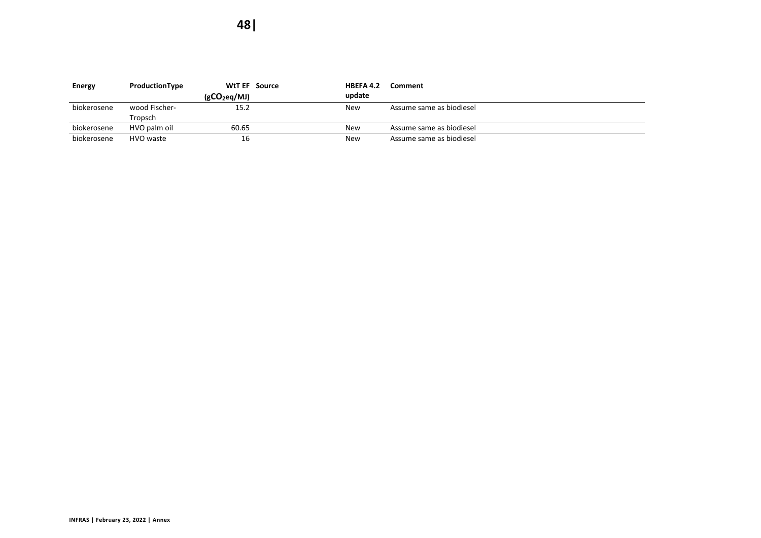| <b>Energy</b> | ProductionType |                | <b>WtT EF</b> Source | HBEFA 4.2  | Comment                  |
|---------------|----------------|----------------|----------------------|------------|--------------------------|
|               |                | $(gCO_2eq/MJ)$ |                      | update     |                          |
| biokerosene   | wood Fischer-  | 15.2           |                      | <b>New</b> | Assume same as biodiesel |
|               | Tropsch        |                |                      |            |                          |
| biokerosene   | HVO palm oil   | 60.65          |                      | New        | Assume same as biodiesel |
| biokerosene   | HVO waste      | 16             |                      | New        | Assume same as biodiesel |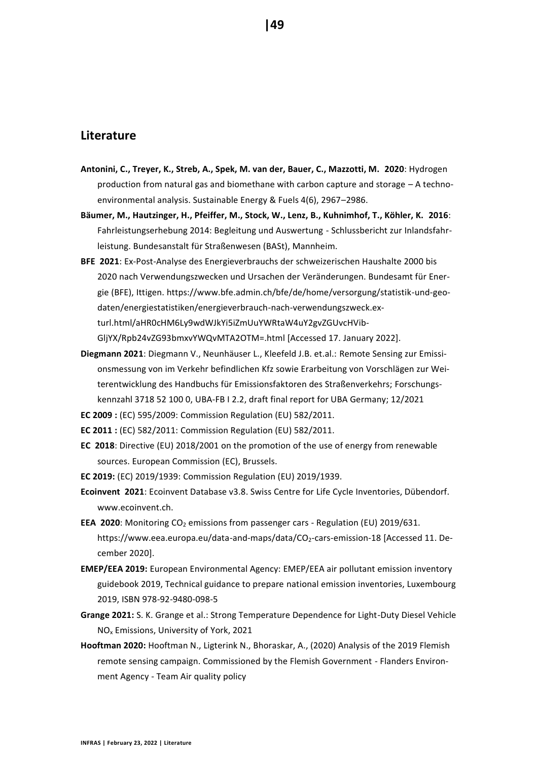# <span id="page-48-0"></span>**Literature**

- **Antonini, C., Treyer, K., Streb, A., Spek, M. van der, Bauer, C., Mazzotti, M. 2020**: Hydrogen production from natural gas and biomethane with carbon capture and storage – A technoenvironmental analysis. Sustainable Energy & Fuels 4(6), 2967–2986.
- **Bäumer, M., Hautzinger, H., Pfeiffer, M., Stock, W., Lenz, B., Kuhnimhof, T., Köhler, K. 2016**: Fahrleistungserhebung 2014: Begleitung und Auswertung - Schlussbericht zur Inlandsfahrleistung. Bundesanstalt für Straßenwesen (BASt), Mannheim.
- **BFE 2021**: Ex-Post-Analyse des Energieverbrauchs der schweizerischen Haushalte 2000 bis 2020 nach Verwendungszwecken und Ursachen der Veränderungen. Bundesamt für Energie (BFE), Ittigen. https://www.bfe.admin.ch/bfe/de/home/versorgung/statistik-und-geodaten/energiestatistiken/energieverbrauch-nach-verwendungszweck.exturl.html/aHR0cHM6Ly9wdWJkYi5iZmUuYWRtaW4uY2gvZGUvcHVib-GljYX/Rpb24vZG93bmxvYWQvMTA2OTM=.html [Accessed 17. January 2022].
- **Diegmann 2021**: Diegmann V., Neunhäuser L., Kleefeld J.B. et.al.: Remote Sensing zur Emissionsmessung von im Verkehr befindlichen Kfz sowie Erarbeitung von Vorschlägen zur Weiterentwicklung des Handbuchs für Emissionsfaktoren des Straßenverkehrs; Forschungskennzahl 3718 52 100 0, UBA-FB I 2.2, draft final report for UBA Germany; 12/2021
- **EC 2009 :** (EC) 595/2009: Commission Regulation (EU) 582/2011.
- **EC 2011 :** (EC) 582/2011: Commission Regulation (EU) 582/2011.
- **EC 2018**: Directive (EU) 2018/2001 on the promotion of the use of energy from renewable sources. European Commission (EC), Brussels.
- **EC 2019:** (EC) 2019/1939: Commission Regulation (EU) 2019/1939.
- **Ecoinvent 2021**: Ecoinvent Database v3.8. Swiss Centre for Life Cycle Inventories, Dübendorf. www.ecoinvent.ch.
- **EEA 2020**: Monitoring CO<sub>2</sub> emissions from passenger cars Regulation (EU) 2019/631. https://www.eea.europa.eu/data-and-maps/data/CO<sub>2</sub>-cars-emission-18 [Accessed 11. December 2020].
- **EMEP/EEA 2019:** European Environmental Agency: EMEP/EEA air pollutant emission inventory guidebook 2019, Technical guidance to prepare national emission inventories, Luxembourg 2019, ISBN 978-92-9480-098-5
- **Grange 2021:** S. K. Grange et al.: Strong Temperature Dependence for Light-Duty Diesel Vehicle NO<sup>x</sup> Emissions, University of York, 2021
- **Hooftman 2020:** Hooftman N., Ligterink N., Bhoraskar, A., (2020) Analysis of the 2019 Flemish remote sensing campaign. Commissioned by the Flemish Government - Flanders Environment Agency - Team Air quality policy